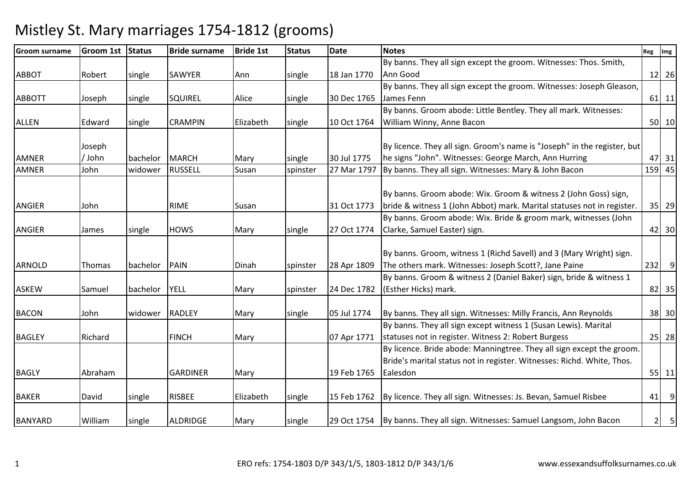### Groom surnameGroom 1st Status | Bride surname e Bride 1st Status Date Notes Reg Img Reg Img Reg Img Reg Img Reg Img Reg Img Reg Img Reg Img Reg Img Reg Img Reg Img Reg Img Reg Img Reg Img Reg Img Reg Img Reg Img Reg Img Reg Img Reg Img Reg Img Reg Img Reg Img Reg Img ABBOT Robert single SAWYER Ann single 18 Jan 1770By banns. They all sign except the groom. Witnesses: Thos. Smith, Ann Goodd 12 26 ABBOTT Joseph Single SQUIREL Alice single 30 Dec 1765 By banns. They all sign except the groom. Witnesses: Joseph Gleason, James Fennn 11 | 61 | 11 ALLEN Edward single CRAMPIN Elizabeth single 10 Oct 1764By banns. Groom abode: Little Bentley. They all mark. Witnesses: William Winny, Anne Baconn 50 10 AMNER AMNERJoseph / Johnn bachelor MARCH Mary single 30 Jul 1775 27 Mar 1797 By licence. They all sign. Groom's name is "Joseph" in the register, buthe signs "John". Witnesses: George March, Ann Hurring $\frac{47}{159}$   $\frac{31}{45}$ 45 John widower RUSSELL Susan Spinster 27 Mar 1797 By banns. They all sign. Witnesses: Mary & John Bacon 159 450 45 ANGIER John | RIME Susan | 31 Oct 1773 By banns. Groom abode: Wix. Groom & witness 2 (John Goss) sign, bride & witness 1 (John Abbot) mark. Marital statuses not in register. 35 29ANGIER James single HOWS Mary single 27 Oct 1774 By banns. Groom abode: Wix. Bride & groom mark, witnesses (John Clarke, Samuel Easter) sign. $\begin{array}{|c|c|c|c|c|}\n \hline\n \text{42} & 30 \\
\hline\n \end{array}$ ARNOLD Thomas bachelor PAIN Dinah spinster 28 Apr 1809By banns. Groom, witness 1 (Richd Savell) and 3 (Mary Wright) sign. The others mark. Witnesses: Joseph Scott?, Jane Painee 232 9 ASKEW Samuel bachelor YELL Mary spinster 24 Dec 1782By banns. Groom & witness 2 (Daniel Baker) sign, bride & witness 1 (Esther Hicks) mark.. 23 | 82 | 35 BACON John widower RADLEY Mary Single 05 Jul 1774 By banns. They all sign. Witnesses: Milly Francis, Ann Reynolds  $\vert$  38 30 BAGLEY Richard FINCH Mary 1771 By banns. They all sign except witness 1 (Susan Lewis). Marital statuses not in register. Witness 2: Robert Burgess <sup>25</sup> <sup>28</sup>BAGLY Abraham GARDINER Mary 19 Feb 1765By licence. Bride abode: Manningtree. They all sign except the groom. Bride's marital status not in register. Witnesses: Richd. White, Thos. Ealesdon <sup>55</sup> <sup>11</sup>BAKER | David | single | RISBEE | Elizabeth | single | 15 Feb 1762 By licence. They all sign. Witnesses: Js. Bevan, Samuel Risbee  $\begin{array}{|c|c|} \hline \end{array}$  41 9 BANYARD | William | single | ALDRIDGE | Mary | single | 29 Oct 1754 By banns. They all sign. Witnesses: Samuel Langsom, John Bacon  $\begin{vmatrix} 2 & 5 \\ 2 & 5 \end{vmatrix}$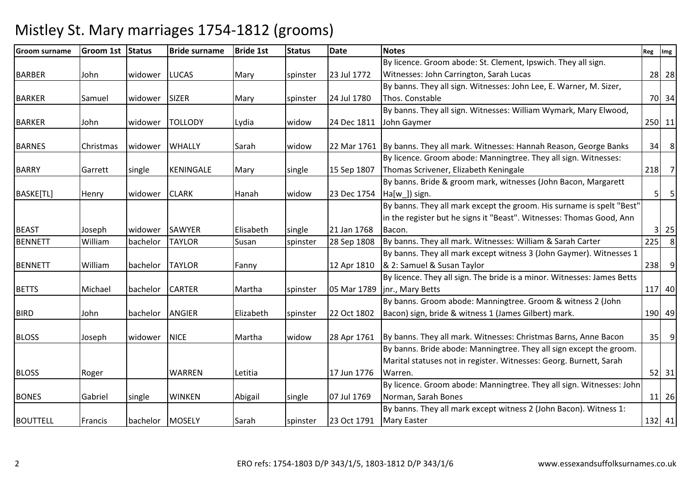### Groom surnameGroom 1st Status | Bride surname e Bride 1st Status Date Notes Reg Img Reg Img Reg Img Reg Img Reg Img Reg Img Reg Img Reg Img Reg Img Reg Img Reg Img Reg Img Reg Img Reg Img Reg Img Reg Img Reg Img Reg Img Reg Img Reg Img Reg Img Reg Img Reg Img Reg Img BARBER John widower LUCAS Mary spinster 23 Jul 1772By licence. Groom abode: St. Clement, Ipswich. They all sign. Witnesses: John Carrington, Sarah Lucas <sup>28</sup> <sup>28</sup>BARKER Samuel widower SIZER Mary spinster 24 Jul 1780By banns. They all sign. Witnesses: John Lee, E. Warner, M. Sizer, Thos. Constablee 70 34 BARKER John widower TOLLODY Lydia widow 24 Dec 1811By banns. They all sign. Witnesses: William Wymark, Mary Elwood, John Gaymer <sup>250</sup> <sup>11</sup>BARNES Christmas widower WHALLY Sarah widow 22 Mar 1761 By banns. They all mark. Witnesses: Hannah Reason, George Banks 34 8 BARRY Garrett Single KENINGALE Mary Single 15 Sep 1807 By licence. Groom abode: Manningtree. They all sign. Witnesses: Thomas Scrivener, Elizabeth Keningalee 218 7 BASKE[TL] Henry widower CLARK Hanah widow 23 Dec 1754 By banns. Bride & groom mark, witnesses (John Bacon, Margarett Ha[w ]) sign. . The state of the state of the state  $\vert$  5  $\vert$  5  $\vert$  5  $\vert$  5  $\vert$  5  $\vert$  5  $\vert$  5  $\vert$  5  $\vert$  5  $\vert$  5  $\vert$  5  $\vert$  5  $\vert$  5  $\vert$  5  $\vert$  5  $\vert$  5  $\vert$  5  $\vert$  5  $\vert$  5  $\vert$  5  $\vert$  5  $\vert$  5  $\vert$  5  $\vert$  5  $\vert$  5  $\vert$  5 BEAST Joseph Widower SAWYER Elisabeth single 21 Jan 1768 28 Sep 1808 By banns. They all mark except the groom. His surname is spelt "Best" in the register but he signs it "Beast". Witnesses: Thomas Good, Ann Bacon..  $3 \mid 25$ BENNETT Williambachelor TAYLOR Susan spinster 28 Sep 1808 By banns. They all mark. Witnesses: William & Sarah Carter 225 BENNETT William bachelor TAYLOR Fanny 12 Apr 1810 By banns. They all mark except witness 3 (John Gaymer). Witnesses 1 & 2: Samuel & Susan Taylorr 1238 9 BETTS Michael bachelor CARTER Martha Spinster 105 Mar 1789 By licence. They all sign. The bride is a minor. Witnesses: James Betts jnr., Mary Betts <sup>117</sup> <sup>40</sup>BIRD John bachelor ANGIER Elizabeth spinster 22 Oct 1802By banns. Groom abode: Manningtree. Groom & witness 2 (John Bacon) sign, bride & witness 1 (James Gilbert) mark.190 49 BLOSS Joseph widower NICE Martha widow 28 Apr 1761By banns. They all mark. Witnesses: Christmas Barns, Anne Bacon | 35 9 BLOSS Roger WARREN Letitia 17 Jun 1776By banns. Bride abode: Manningtree. They all sign except the groom. Marital statuses not in register. Witnesses: Georg. Burnett, Sarah Warren..  $\begin{bmatrix} 52 & 31 \end{bmatrix}$ BONES Gabriel single WINKEN Abigail single 07 Jul 1769By licence. Groom abode: Manningtree. They all sign. Witnesses: John Norman, Sarah Boness 11 26 By banns. They all mark except witness 2 (John Bacon). Witness 1:

# Mistley St. Mary marriages 1754-1812 (grooms)

BOUTTELL Francis bachelor MOSELY Sarah spinster 23 Oct 1791

Mary Easter

r 132 41

8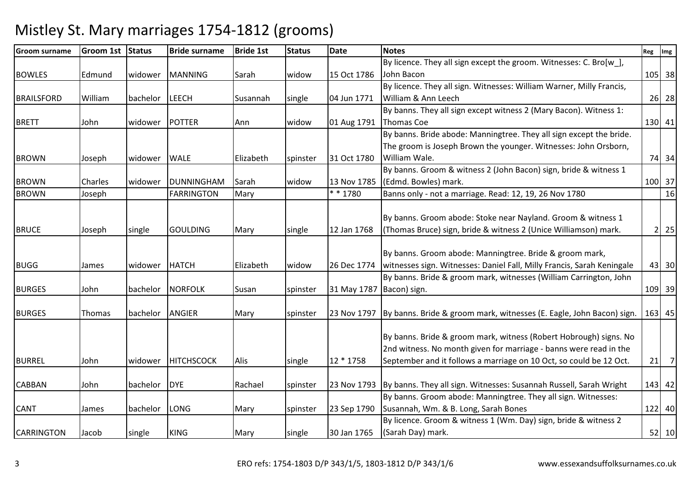### Groom surnameGroom 1st Status | Bride surname e Bride 1st Status Date Notes Reg Img Reg Img Reg Img Reg Img Reg Img Reg Img Reg Img Reg Img Reg Img Reg Img Reg Img Reg Img Reg Img Reg Img Reg Img Reg Img Reg Img Reg Img Reg Img Reg Img Reg Img Reg Img Reg Img Reg Img BOWLES Edmund widower MANNING Sarah widow 15 Oct 1786By licence. They all sign except the groom. Witnesses: C. Bro[w\_], John Baconn 105 38 BRAILSFORD William bachelor LEECH Susannah single 04 Jun 1771 By licence. They all sign. Witnesses: William Warner, Milly Francis, William & Ann Leechh 26 28 BRETT John Widower POTTER Ann Widow 01 Aug 1791 By banns. They all sign except witness 2 (Mary Bacon). Witness 1: Thomas Coee 130 41 BROWN Joseph widower WALE Elizabeth spinster 31 Oct 1780By banns. Bride abode: Manningtree. They all sign except the bride. The groom is Joseph Brown the younger. Witnesses: John Orsborn, William Wale. 74 34BROWN Charles widower DUNNINGHAM Sarah widow 13 Nov 1785By banns. Groom & witness 2 (John Bacon) sign, bride & witness 1 (Edmd. Bowles) mark.. [100] 37 16 BROWNJoseph FARRINGTON Mary | \*\* 1780 Banns only - not a marriage. Read: 12, 19, 26 Nov 1780 BRUCE Joseph single GOULDING Mary single 12 Jan 1768By banns. Groom abode: Stoke near Nayland. Groom & witness 1 (Thomas Bruce) sign, bride & witness 2 (Unice Williamson) mark. 2 25BUGG James widower HATCH Elizabeth widow 26 Dec 1774By banns. Groom abode: Manningtree. Bride & groom mark, witnesses sign. Witnesses: Daniel Fall, Milly Francis, Sarah Keningale <sup>43</sup> <sup>30</sup>BURGES JJohn Jachelor NORFOLK Susan Spinster 31 May 1787 By banns. Bride & groom mark, witnesses (William Carrington, John Bacon) sign.. [109] 39 BURGES Thomas bachelor ANGIER Mary Spinster 23 Nov 1797 By banns. Bride & groom mark, witnesses (E. Eagle, John Bacon) sign. <sup>163</sup> <sup>45</sup> BURREL John Widower HITCHSCOCK Alis single 12 \* 1758 By banns. Bride & groom mark, witness (Robert Hobrough) signs. No 2nd witness. No month given for marriage - banns were read in the September and it follows a marriage on 10 Oct, so could be 12 Oct. 21 7CABBAN John bachelor DYE Rachael spinster 23 Nov 1793 By banns. They all sign. Witnesses: Susannah Russell, Sarah Wright <sup>143</sup> <sup>42</sup> CANT James bachelor LONG Mary Spinster 23 Sep 1790 By banns. Groom abode: Manningtree. They all sign. Witnesses: Susannah, Wm. & B. Long, Sarah Boness 122 40 CARRINGTON Jacob single KING Mary single 30 Jan 1765By licence. Groom & witness 1 (Wm. Day) sign, bride & witness 2 (Sarah Day) mark.. [52] 10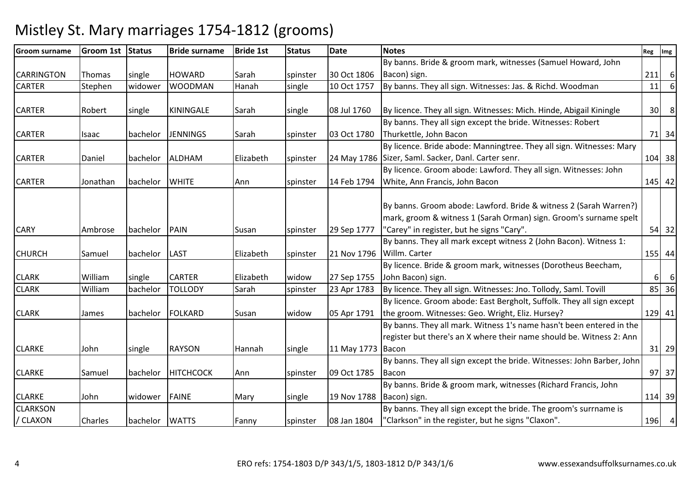#### Groom surnameGroom 1st Status | Bride surname e Bride 1st Status Date Notes Reg Img Reg Img Reg Img Reg Img Reg Img Reg Img Reg Img Reg Img Reg Img Reg Img Reg Img Reg Img Reg Img Reg Img Reg Img Reg Img Reg Img Reg Img Reg Img Reg Img Reg Img Reg Img Reg Img Reg Img CARRINGTON Thomas single HOWARD Sarah Spinster 30 Oct 1806 10 Oct 1757 By banns. Bride & groom mark, witnesses (Samuel Howard, John Bacon) sign. $\begin{bmatrix} 211 & 6 \end{bmatrix}$ **CARTER** Stephen widower WOODMAN Hanah single 10 Oct 1757 By banns. They all sign. Witnesses: Jas. & Richd. Woodman 11 6CARTER Robert single KININGALE Sarah single 08 Jul 1760 $\begin{array}{|l|l|} \hline \end{array}$  (By licence. They all sign. Witnesses: Mich. Hinde, Abigail Kiningle  $\begin{array}{|l|l|} \hline \end{array}$  30 8 CARTER Isaac bachelor JENNINGS Sarah spinster 03 Oct 1780By banns. They all sign except the bride. Witnesses: Robert Thurkettle, John Baconn 71 34 CARTER Daniel bachelor ALDHAM Elizabeth spinster 24 May 1786Sizer, Saml. Sacker, Danl. Carter senr. 104 38By licence. Bride abode: Manningtree. They all sign. Witnesses: Mary CARTER 119 Jonathan bachelor WHITE Ann Ann spinster 14 Feb 1794 By licence. Groom abode: Lawford. They all sign. Witnesses: John White, Ann Francis, John Baconn 145 42 CARY More Ambrose bachelor PAIN Susan Spinster 29 Sep 1777 By banns. Groom abode: Lawford. Bride & witness 2 (Sarah Warren?) mark, groom & witness 1 (Sarah Orman) sign. Groom's surname spelt "Carey" in register, but he signs "Cary".. [54] 32 CHURCH Samuel bachelor LAST Elizabeth spinster 21 Nov 1796Willm. CarterBy banns. They all mark except witness 2 (John Bacon). Witness 1: r 155 44 CLARK William single CARTER Elizabeth widow 27 Sep 1755By licence. Bride & groom mark, witnesses (Dorotheus Beecham, John Bacon) sign. $\begin{bmatrix} 6 & 6 \end{bmatrix}$ 36 CLARK Williambachelor TOLLODY Sarah spinster 23 Apr 1783 By licence. They all sign. Witnesses: Jno. Tollody, Saml. Tovill 85 CLARK James | bachelor | FOLKARD | Susan | widow | 05 Apr 1791 By licence. Groom abode: East Bergholt, Suffolk. They all sign exceptthe groom. Witnesses: Geo. Wright, Eliz. Hursey? <sup>129</sup> <sup>41</sup>CLARKE John single RAYSON Hannah single 11 May 1773BaconBy banns. They all mark. Witness 1's name hasn't been entered in the register but there's an X where their name should be. Witness 2: Ann n 31 29 CLARKE Samuel bachelor HITCHCOCK Ann spinster 09 Oct 1785 By banns. They all sign except the bride. Witnesses: John Barber, John Baconn 97 37 CLARKE John widower FAINE Mary single 19 Nov 1788By banns. Bride & groom mark, witnesses (Richard Francis, John Bacon) sign.. [114] 39 **CLARKSON** / CLAXONN Charles bachelor WATTS Fanny Spinster 08 Jan 1804 By banns. They all sign except the bride. The groom's surrname is "Clarkson" in the register, but he signs "Claxon".196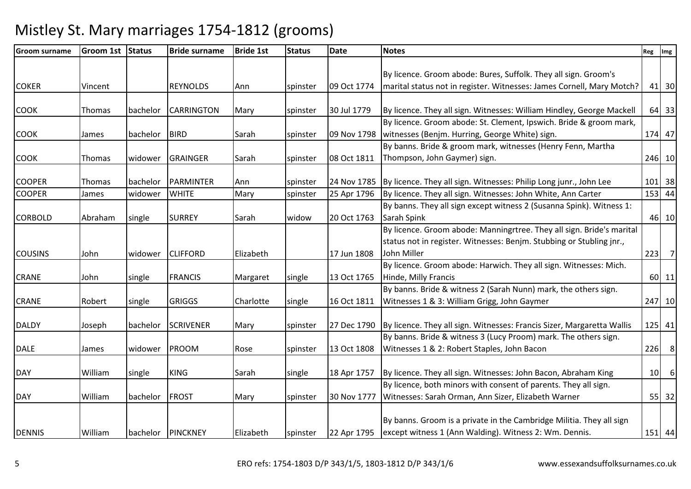| <b>Groom surname</b> | <b>Groom 1st</b> | <b>Status</b> | <b>Bride surname</b> | <b>Bride 1st</b> | <b>Status</b> | <b>Date</b> | <b>Notes</b>                                                                    | Reg | $\mathsf{Im} \mathsf{g}$ |
|----------------------|------------------|---------------|----------------------|------------------|---------------|-------------|---------------------------------------------------------------------------------|-----|--------------------------|
|                      |                  |               |                      |                  |               |             |                                                                                 |     |                          |
|                      |                  |               |                      |                  |               |             | By licence. Groom abode: Bures, Suffolk. They all sign. Groom's                 |     |                          |
| <b>COKER</b>         | Vincent          |               | <b>REYNOLDS</b>      | Ann              | spinster      | 09 Oct 1774 | marital status not in register. Witnesses: James Cornell, Mary Motch?           |     | 41 30                    |
|                      |                  |               |                      |                  |               |             |                                                                                 |     |                          |
| <b>COOK</b>          | Thomas           | bachelor      | <b>CARRINGTON</b>    | Mary             | spinster      | 30 Jul 1779 | By licence. They all sign. Witnesses: William Hindley, George Mackell           |     | 64 33                    |
|                      |                  |               |                      |                  |               |             | By licence. Groom abode: St. Clement, Ipswich. Bride & groom mark,              |     |                          |
| <b>COOK</b>          | James            | bachelor      | <b>BIRD</b>          | Sarah            | spinster      | 09 Nov 1798 | witnesses (Benjm. Hurring, George White) sign.                                  |     | 174 47                   |
|                      |                  |               |                      |                  |               |             | By banns. Bride & groom mark, witnesses (Henry Fenn, Martha                     |     |                          |
| <b>COOK</b>          | Thomas           | widower       | <b>GRAINGER</b>      | Sarah            | spinster      | 08 Oct 1811 | Thompson, John Gaymer) sign.                                                    |     | 246 10                   |
|                      |                  |               |                      |                  |               |             |                                                                                 |     |                          |
| <b>COOPER</b>        | Thomas           | bachelor      | PARMINTER            | Ann              | spinster      |             | 24 Nov 1785   By licence. They all sign. Witnesses: Philip Long junr., John Lee |     | $101$ 38                 |
| <b>COOPER</b>        | James            | widower       | <b>WHITE</b>         | Mary             | spinster      | 25 Apr 1796 | By licence. They all sign. Witnesses: John White, Ann Carter                    |     | 153 44                   |
|                      |                  |               |                      |                  |               |             | By banns. They all sign except witness 2 (Susanna Spink). Witness 1:            |     |                          |
| <b>CORBOLD</b>       | Abraham          | single        | <b>SURREY</b>        | Sarah            | widow         | 20 Oct 1763 | Sarah Spink                                                                     |     | 46 10                    |
|                      |                  |               |                      |                  |               |             | By licence. Groom abode: Manningrtree. They all sign. Bride's marital           |     |                          |
|                      |                  |               |                      |                  |               |             | status not in register. Witnesses: Benjm. Stubbing or Stubling jnr.,            |     |                          |
| <b>COUSINS</b>       | John             | widower       | <b>CLIFFORD</b>      | Elizabeth        |               | 17 Jun 1808 | John Miller                                                                     |     | $223$ 7                  |
|                      |                  |               |                      |                  |               |             | By licence. Groom abode: Harwich. They all sign. Witnesses: Mich.               |     |                          |
| <b>CRANE</b>         | John             | single        | <b>FRANCIS</b>       | Margaret         | single        | 13 Oct 1765 | Hinde, Milly Francis                                                            |     | 60 11                    |
|                      |                  |               |                      |                  |               |             | By banns. Bride & witness 2 (Sarah Nunn) mark, the others sign.                 |     |                          |
| <b>CRANE</b>         | Robert           | single        | <b>GRIGGS</b>        | Charlotte        | single        | 16 Oct 1811 | Witnesses 1 & 3: William Grigg, John Gaymer                                     |     | 247 10                   |
|                      |                  |               |                      |                  |               |             |                                                                                 |     |                          |
| <b>DALDY</b>         | Joseph           | bachelor      | <b>SCRIVENER</b>     | Mary             | spinster      | 27 Dec 1790 | By licence. They all sign. Witnesses: Francis Sizer, Margaretta Wallis          |     | $125$ 41                 |
|                      |                  |               |                      |                  |               |             | By banns. Bride & witness 3 (Lucy Proom) mark. The others sign.                 |     |                          |
| <b>DALE</b>          | James            | widower       | PROOM                | Rose             | spinster      | 13 Oct 1808 | Witnesses 1 & 2: Robert Staples, John Bacon                                     |     | $226$ 8                  |
|                      |                  |               |                      |                  |               |             |                                                                                 |     |                          |
| <b>DAY</b>           | William          | single        | <b>KING</b>          | Sarah            | single        | 18 Apr 1757 | By licence. They all sign. Witnesses: John Bacon, Abraham King                  | 10  | 6                        |
|                      |                  |               |                      |                  |               |             | By licence, both minors with consent of parents. They all sign.                 |     |                          |
| <b>DAY</b>           | William          | bachelor      | <b>FROST</b>         | Mary             | spinster      | 30 Nov 1777 | Witnesses: Sarah Orman, Ann Sizer, Elizabeth Warner                             |     | 55 32                    |
|                      |                  |               |                      |                  |               |             |                                                                                 |     |                          |
|                      |                  |               |                      |                  |               |             | By banns. Groom is a private in the Cambridge Militia. They all sign            |     |                          |
| <b>DENNIS</b>        | William          |               | bachelor   PINCKNEY  | Elizabeth        | spinster      | 22 Apr 1795 | except witness 1 (Ann Walding). Witness 2: Wm. Dennis.                          |     | 151 44                   |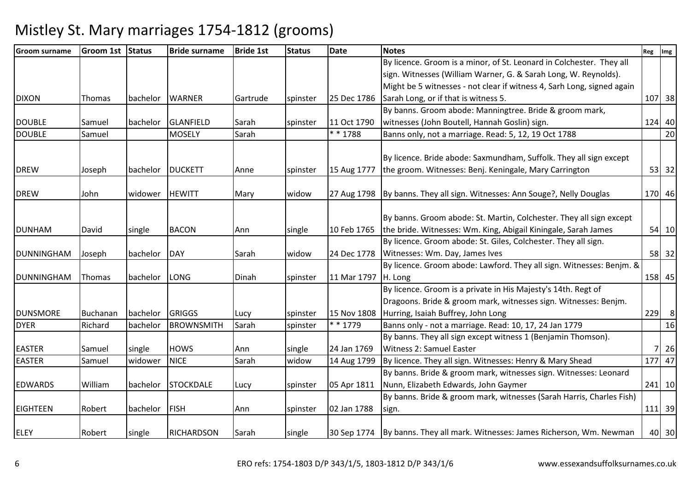| <b>Groom surname</b> | <b>Groom 1st</b> | Status   | <b>Bride surname</b> | <b>Bride 1st</b> | <b>Status</b> | <b>Date</b> | <b>Notes</b>                                                                  | Reg | Img            |
|----------------------|------------------|----------|----------------------|------------------|---------------|-------------|-------------------------------------------------------------------------------|-----|----------------|
|                      |                  |          |                      |                  |               |             | By licence. Groom is a minor, of St. Leonard in Colchester. They all          |     |                |
|                      |                  |          |                      |                  |               |             | sign. Witnesses (William Warner, G. & Sarah Long, W. Reynolds).               |     |                |
|                      |                  |          |                      |                  |               |             | Might be 5 witnesses - not clear if witness 4, Sarh Long, signed again        |     |                |
| <b>DIXON</b>         | Thomas           | bachelor | <b>WARNER</b>        | Gartrude         | spinster      | 25 Dec 1786 | Sarah Long, or if that is witness 5.                                          |     | 107 38         |
|                      |                  |          |                      |                  |               |             | By banns. Groom abode: Manningtree. Bride & groom mark,                       |     |                |
| <b>DOUBLE</b>        | Samuel           | bachelor | GLANFIELD            | Sarah            | spinster      | 11 Oct 1790 | witnesses (John Boutell, Hannah Goslin) sign.                                 |     | 124 40         |
| <b>DOUBLE</b>        | Samuel           |          | <b>MOSELY</b>        | Sarah            |               | $* * 1788$  | Banns only, not a marriage. Read: 5, 12, 19 Oct 1788                          |     | 20             |
|                      |                  |          |                      |                  |               |             |                                                                               |     |                |
|                      |                  |          |                      |                  |               |             | By licence. Bride abode: Saxmundham, Suffolk. They all sign except            |     |                |
| <b>DREW</b>          | Joseph           |          | bachelor   DUCKETT   | Anne             | spinster      | 15 Aug 1777 | the groom. Witnesses: Benj. Keningale, Mary Carrington                        |     | 53 32          |
| <b>DREW</b>          | John             | widower  | <b>HEWITT</b>        | Mary             | widow         |             | 27 Aug 1798   By banns. They all sign. Witnesses: Ann Souge?, Nelly Douglas   |     | 170 46         |
|                      |                  |          |                      |                  |               |             |                                                                               |     |                |
|                      |                  |          |                      |                  |               |             | By banns. Groom abode: St. Martin, Colchester. They all sign except           |     |                |
| <b>DUNHAM</b>        | David            | single   | <b>BACON</b>         | Ann              | single        | 10 Feb 1765 | the bride. Witnesses: Wm. King, Abigail Kiningale, Sarah James                |     | 54 10          |
|                      |                  |          |                      |                  |               |             | By licence. Groom abode: St. Giles, Colchester. They all sign.                |     |                |
| <b>DUNNINGHAM</b>    | Joseph           | bachelor | DAY                  | Sarah            | widow         | 24 Dec 1778 | Witnesses: Wm. Day, James Ives                                                |     | 58 32          |
|                      |                  |          |                      |                  |               |             | By licence. Groom abode: Lawford. They all sign. Witnesses: Benim. &          |     |                |
| DUNNINGHAM           | Thomas           | bachelor | LONG                 | Dinah            | spinster      | 11 Mar 1797 | H. Long                                                                       |     | 158 45         |
|                      |                  |          |                      |                  |               |             | By licence. Groom is a private in His Majesty's 14th. Regt of                 |     |                |
|                      |                  |          |                      |                  |               |             | Dragoons. Bride & groom mark, witnesses sign. Witnesses: Benjm.               |     |                |
| <b>DUNSMORE</b>      | Buchanan         | bachelor | GRIGGS               | Lucy             | spinster      | 15 Nov 1808 | Hurring, Isaiah Buffrey, John Long                                            | 229 | 8 <sup>8</sup> |
| <b>DYER</b>          | Richard          | bachelor | <b>BROWNSMITH</b>    | Sarah            | spinster      | * * 1779    | Banns only - not a marriage. Read: 10, 17, 24 Jan 1779                        |     | 16             |
|                      |                  |          |                      |                  |               |             | By banns. They all sign except witness 1 (Benjamin Thomson).                  |     |                |
| <b>EASTER</b>        | Samuel           | single   | <b>HOWS</b>          | Ann              | single        | 24 Jan 1769 | Witness 2: Samuel Easter                                                      |     | 26             |
| <b>EASTER</b>        | Samuel           | widower  | <b>NICE</b>          | Sarah            | widow         | 14 Aug 1799 | By licence. They all sign. Witnesses: Henry & Mary Shead                      |     | 177 47         |
|                      |                  |          |                      |                  |               |             | By banns. Bride & groom mark, witnesses sign. Witnesses: Leonard              |     |                |
| <b>EDWARDS</b>       | William          | bachelor | <b>STOCKDALE</b>     | Lucy             | spinster      | 05 Apr 1811 | Nunn, Elizabeth Edwards, John Gaymer                                          |     | 241 10         |
|                      |                  |          |                      |                  |               |             | By banns. Bride & groom mark, witnesses (Sarah Harris, Charles Fish)          |     |                |
| <b>EIGHTEEN</b>      | Robert           | bachelor | FISH                 | Ann              | spinster      | 02 Jan 1788 | sign.                                                                         |     | 111 39         |
|                      |                  |          |                      |                  |               |             |                                                                               |     |                |
| <b>ELEY</b>          | Robert           | single   | <b>RICHARDSON</b>    | Sarah            | single        |             | 30 Sep 1774   By banns. They all mark. Witnesses: James Richerson, Wm. Newman |     | 40 30          |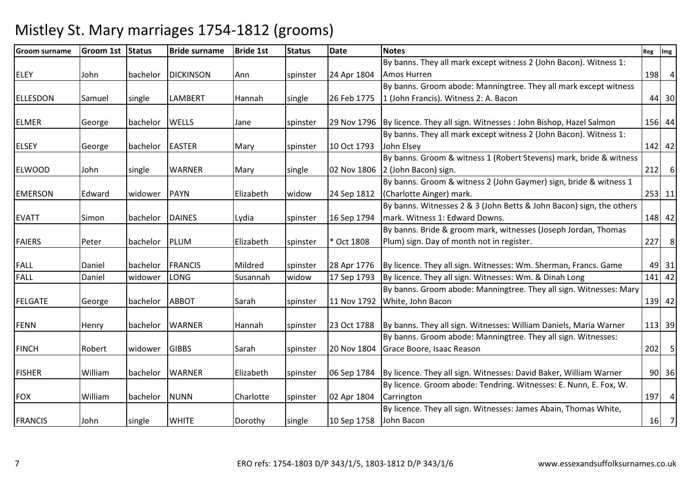| <b>Groom surname</b> | <b>Groom 1st</b> | Status   | <b>Bride surname</b> | <b>Bride 1st</b> | <b>Status</b> | <b>Date</b> | <b>Notes</b>                                                                    | Reg | Img      |
|----------------------|------------------|----------|----------------------|------------------|---------------|-------------|---------------------------------------------------------------------------------|-----|----------|
|                      |                  |          |                      |                  |               |             | By banns. They all mark except witness 2 (John Bacon). Witness 1:               |     |          |
| <b>ELEY</b>          | John             | bachelor | <b>DICKINSON</b>     | Ann              | spinster      | 24 Apr 1804 | Amos Hurren                                                                     |     | 198 4    |
|                      |                  |          |                      |                  |               |             | By banns. Groom abode: Manningtree. They all mark except witness                |     |          |
| <b>ELLESDON</b>      | Samuel           | single   | <b>LAMBERT</b>       | Hannah           | single        | 26 Feb 1775 | 1 (John Francis). Witness 2: A. Bacon                                           |     | 44 30    |
|                      |                  |          |                      |                  |               |             |                                                                                 |     |          |
| <b>ELMER</b>         | George           | bachelor | <b>WELLS</b>         | Jane             | spinster      |             | 29 Nov 1796   By licence. They all sign. Witnesses: John Bishop, Hazel Salmon   |     | 156 44   |
|                      |                  |          |                      |                  |               |             | By banns. They all mark except witness 2 (John Bacon). Witness 1:               |     |          |
| <b>ELSEY</b>         | George           | bachelor | <b>EASTER</b>        | Mary             | spinster      | 10 Oct 1793 | John Elsey                                                                      |     | 142 42   |
|                      |                  |          |                      |                  |               |             | By banns. Groom & witness 1 (Robert Stevens) mark, bride & witness              |     |          |
| <b>ELWOOD</b>        | John             | single   | <b>WARNER</b>        | Mary             | single        |             | 02 Nov 1806 2 (John Bacon) sign.                                                |     | $212$ 6  |
|                      |                  |          |                      |                  |               |             | By banns. Groom & witness 2 (John Gaymer) sign, bride & witness 1               |     |          |
| <b>EMERSON</b>       | Edward           | widower  | PAYN                 | Elizabeth        | widow         | 24 Sep 1812 | (Charlotte Ainger) mark.                                                        |     | 253 11   |
|                      |                  |          |                      |                  |               |             | By banns. Witnesses 2 & 3 (John Betts & John Bacon) sign, the others            |     |          |
| <b>EVATT</b>         | Simon            | bachelor | <b>DAINES</b>        | Lydia            | spinster      | 16 Sep 1794 | mark. Witness 1: Edward Downs.                                                  |     | 148 42   |
|                      |                  |          |                      |                  |               |             | By banns. Bride & groom mark, witnesses (Joseph Jordan, Thomas                  |     |          |
| <b>FAIERS</b>        | Peter            | bachelor | PLUM                 | Elizabeth        | spinster      | * Oct 1808  | Plum) sign. Day of month not in register.                                       |     | 227 8    |
|                      |                  |          |                      |                  |               |             |                                                                                 |     |          |
| <b>FALL</b>          | Daniel           | bachelor | FRANCIS              | Mildred          | spinster      | 28 Apr 1776 | By licence. They all sign. Witnesses: Wm. Sherman, Francs. Game                 |     | 49 31    |
| <b>FALL</b>          | Daniel           | widower  | <b>LONG</b>          | Susannah         | widow         | 17 Sep 1793 | By licence. They all sign. Witnesses: Wm. & Dinah Long                          |     | $141$ 42 |
|                      |                  |          |                      |                  |               |             | By banns. Groom abode: Manningtree. They all sign. Witnesses: Mary              |     |          |
| <b>FELGATE</b>       | George           | bachelor | <b>ABBOT</b>         | Sarah            | spinster      | 11 Nov 1792 | White, John Bacon                                                               |     | 139 42   |
|                      |                  |          |                      |                  |               |             |                                                                                 |     |          |
| <b>FENN</b>          | Henry            | bachelor | <b>WARNER</b>        | Hannah           | spinster      | 23 Oct 1788 | By banns. They all sign. Witnesses: William Daniels, Maria Warner               |     | 113 39   |
|                      |                  |          |                      |                  |               |             | By banns. Groom abode: Manningtree. They all sign. Witnesses:                   |     |          |
| <b>FINCH</b>         | Robert           | widower  | <b>GIBBS</b>         | Sarah            | spinster      |             | 20 Nov 1804 Grace Boore, Isaac Reason                                           |     | $202$ 5  |
|                      |                  |          |                      |                  |               |             |                                                                                 |     |          |
| <b>FISHER</b>        | William          | bachelor | <b>WARNER</b>        | Elizabeth        | spinster      |             | 06 Sep 1784   By licence. They all sign. Witnesses: David Baker, William Warner |     | 90 36    |
|                      |                  |          |                      |                  |               |             | By licence. Groom abode: Tendring. Witnesses: E. Nunn, E. Fox, W.               |     |          |
| <b>FOX</b>           | William          | bachelor | <b>NUNN</b>          | Charlotte        | spinster      | 02 Apr 1804 | Carrington                                                                      |     | 197 4    |
|                      |                  |          |                      |                  |               |             | By licence. They all sign. Witnesses: James Abain, Thomas White,                |     |          |
| <b>FRANCIS</b>       | John             | single   | <b>WHITE</b>         | Dorothy          | single        | 10 Sep 1758 | John Bacon                                                                      |     | 16 7     |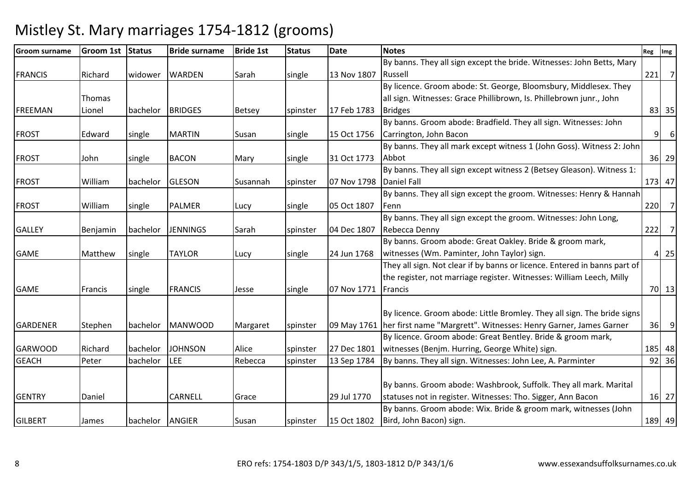| <b>Groom surname</b> | <b>Groom 1st</b> | <b>Status</b> | <b>Bride surname</b> | <b>Bride 1st</b> | <b>Status</b> | <b>Date</b>             | <b>Notes</b>                                                                 | Reg | Img                        |
|----------------------|------------------|---------------|----------------------|------------------|---------------|-------------------------|------------------------------------------------------------------------------|-----|----------------------------|
|                      |                  |               |                      |                  |               |                         | By banns. They all sign except the bride. Witnesses: John Betts, Mary        |     |                            |
| <b>FRANCIS</b>       | Richard          | widower       | <b>WARDEN</b>        | Sarah            | single        | 13 Nov 1807             | Russell                                                                      | 221 | $\overline{7}$             |
|                      |                  |               |                      |                  |               |                         | By licence. Groom abode: St. George, Bloomsbury, Middlesex. They             |     |                            |
|                      | Thomas           |               |                      |                  |               |                         | all sign. Witnesses: Grace Phillibrown, Is. Phillebrown junr., John          |     |                            |
| FREEMAN              | Lionel           | bachelor      | <b>BRIDGES</b>       | <b>Betsey</b>    | spinster      | 17 Feb 1783             | <b>Bridges</b>                                                               |     | 83 35                      |
|                      |                  |               |                      |                  |               |                         | By banns. Groom abode: Bradfield. They all sign. Witnesses: John             |     |                            |
| <b>FROST</b>         | Edward           | single        | <b>MARTIN</b>        | Susan            | single        | 15 Oct 1756             | Carrington, John Bacon                                                       | 9   | 6                          |
|                      |                  |               |                      |                  |               |                         | By banns. They all mark except witness 1 (John Goss). Witness 2: John        |     |                            |
| <b>FROST</b>         | John             | single        | <b>BACON</b>         | Mary             | single        | 31 Oct 1773             | Abbot                                                                        |     | 36 29                      |
|                      |                  |               |                      |                  |               |                         | By banns. They all sign except witness 2 (Betsey Gleason). Witness 1:        |     |                            |
| <b>FROST</b>         | William          | bachelor      | GLESON               | Susannah         | spinster      | 07 Nov 1798 Daniel Fall |                                                                              |     | 173 47                     |
|                      |                  |               |                      |                  |               |                         | By banns. They all sign except the groom. Witnesses: Henry & Hannah          |     |                            |
| <b>FROST</b>         | William          | single        | <b>PALMER</b>        | Lucy             | single        | 05 Oct 1807             | lFenn                                                                        |     | $220$ 7                    |
|                      |                  |               |                      |                  |               |                         | By banns. They all sign except the groom. Witnesses: John Long,              |     |                            |
| <b>GALLEY</b>        | Benjamin         | bachelor      | <b>JENNINGS</b>      | Sarah            | spinster      | 04 Dec 1807             | Rebecca Denny                                                                |     | 222 7                      |
|                      |                  |               |                      |                  |               |                         | By banns. Groom abode: Great Oakley. Bride & groom mark,                     |     |                            |
| <b>GAME</b>          | Matthew          | single        | <b>TAYLOR</b>        | Lucy             | single        | 24 Jun 1768             | witnesses (Wm. Paminter, John Taylor) sign.                                  |     | $4 \overline{\smash{)}25}$ |
|                      |                  |               |                      |                  |               |                         | They all sign. Not clear if by banns or licence. Entered in banns part of    |     |                            |
|                      |                  |               |                      |                  |               |                         | the register, not marriage register. Witnesses: William Leech, Milly         |     |                            |
| <b>GAME</b>          | Francis          | single        | <b>FRANCIS</b>       | Jesse            | single        | 07 Nov 1771             | Francis                                                                      |     | 70 13                      |
|                      |                  |               |                      |                  |               |                         |                                                                              |     |                            |
|                      |                  |               |                      |                  |               |                         | By licence. Groom abode: Little Bromley. They all sign. The bride signs      |     |                            |
| <b>GARDENER</b>      | Stephen          | bachelor      | <b>MANWOOD</b>       | Margaret         | spinster      |                         | 09 May 1761 her first name "Margrett". Witnesses: Henry Garner, James Garner |     | $36$ 9                     |
|                      |                  |               |                      |                  |               |                         | By licence. Groom abode: Great Bentley. Bride & groom mark,                  |     |                            |
| <b>GARWOOD</b>       | Richard          | bachelor      | <b>JOHNSON</b>       | Alice            | spinster      | 27 Dec 1801             | witnesses (Benjm. Hurring, George White) sign.                               |     | 185 48                     |
| <b>GEACH</b>         | Peter            | bachelor      | <b>LEE</b>           | Rebecca          | spinster      | 13 Sep 1784             | By banns. They all sign. Witnesses: John Lee, A. Parminter                   |     | $92$ 36                    |
|                      |                  |               |                      |                  |               |                         |                                                                              |     |                            |
|                      |                  |               |                      |                  |               |                         | By banns. Groom abode: Washbrook, Suffolk. They all mark. Marital            |     |                            |
| <b>GENTRY</b>        | Daniel           |               | CARNELL              | Grace            |               | 29 Jul 1770             | statuses not in register. Witnesses: Tho. Sigger, Ann Bacon                  |     | 16 27                      |
|                      |                  |               |                      |                  |               |                         | By banns. Groom abode: Wix. Bride & groom mark, witnesses (John              |     |                            |
| <b>GILBERT</b>       | James            | bachelor      | <b>ANGIER</b>        | Susan            | spinster      | 15 Oct 1802             | Bird, John Bacon) sign.                                                      |     | 189 49                     |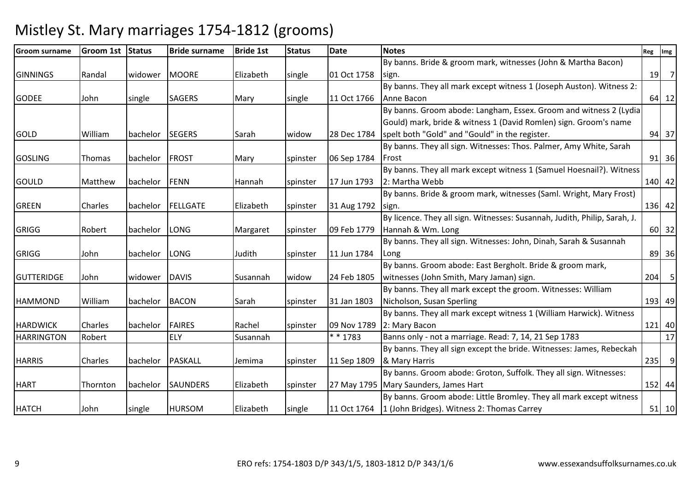#### Groom surname $G$ room 1st Status Bride surname e Bride 1st Status Date Notes Reg Img Reg Img Reg Img Reg Img Reg Img Reg Img Reg Img Reg Img Reg Img Reg Img Reg Img Reg Img Reg Img Reg Img Reg Img Reg Img Reg Img Reg Img Reg Img Reg Img Reg Img Reg Img Reg Img Reg Img GINNINGS Randal widower MOORE Elizabeth single 01 Oct 1758 By banns. Bride & groom mark, witnesses (John & Martha Bacon) sign.. [19] 19] 19] 19] 2 GODEE JJohn Single SAGERS Mary Single 11 Oct 1766 By banns. They all mark except witness 1 (Joseph Auston). Witness 2: Anne Baconn 64 12 GOLD 10 | William | bachelor | SEGERS | Sarah | widow | 28 Dec 1784 By banns. Groom abode: Langham, Essex. Groom and witness 2 (Lydia Gould) mark, bride & witness 1 (David Romlen) sign. Groom's name spelt both "Gold" and "Gould" in the register. 94 37GOSLING Thomas bachelor FROST Mary Spinster 06 Sep 1784 By banns. They all sign. Witnesses: Thos. Palmer, Amy White, Sarah Frostt 91 36 GOULD Matthew bachelor FENN Hannah spinster 17 Jun 1793By banns. They all mark except witness 1 (Samuel Hoesnail?). Witness 2: Martha Webbb 140 42 GREEN Charles bachelor FELLGATE Elizabeth spinster 31 Aug 1792By banns. Bride & groom mark, witnesses (Saml. Wright, Mary Frost) sign. $\frac{136}{42}$ GRIGG Robert bachelor LONG Margaret spinster 09 Feb 1779By licence. They all sign. Witnesses: Susannah, Judith, Philip, Sarah, J. Hannah & Wm. Longg 60 32 GRIGG John bachelor LONG Judith spinster 11 Jun 1784 By banns. They all sign. Witnesses: John, Dinah, Sarah & Susannah Longg 36 GUTTERIDGE John widower DAVIS Susannah widow 24 Feb 1805By banns. Groom abode: East Bergholt. Bride & groom mark, witnesses (John Smith, Mary Jaman) sign. $204$  5 HAMMOND William bachelor BACON Sarah Spinster 31 Jan 1803 By banns. They all mark except the groom. Witnesses: William Nicholson, Susan Sperlingg 193 49 HARDWICK Charles bachelor FAIRES Rachel spinster 09 Nov 1789By banns. They all mark except witness 1 (William Harwick). Witness 2: Mary Baconn 121 40  $\overline{17}$ HARRINGTONRobert ELY Susannah | \* 1783 Banns only - not a marriage. Read: 7, 14, 21 Sep 1783 HARRIS Charles bachelor PASKALL Jemima spinster 11 Sep 1809By banns. They all sign except the bride. Witnesses: James, Rebeckah & Mary Harriss 235 9 HART Thornton bachelor SAUNDERS Elizabeth spinster By banns. Groom abode: Groton, Suffolk. They all sign. Witnesses: 27 May 1795 | Mary Saunders, James Hart <sup>152</sup> <sup>44</sup>HATCH John single HURSOM Elizabeth single 11 Oct 1764By banns. Groom abode: Little Bromley. They all mark except witness 1 (John Bridges). Witness 2: Thomas Carrey<sup>51</sup> <sup>10</sup>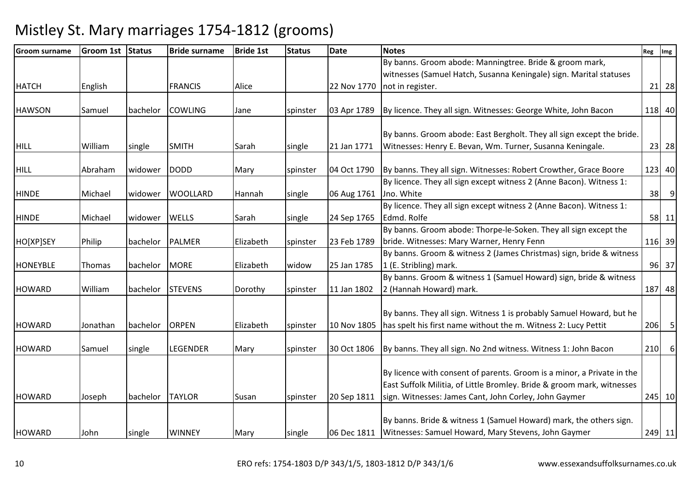| <b>Groom surname</b> | <b>Groom 1st</b> | Status   | <b>Bride surname</b> | <b>Bride 1st</b> | <b>Status</b> | <b>Date</b> | <b>Notes</b>                                                           | Reg | Img     |
|----------------------|------------------|----------|----------------------|------------------|---------------|-------------|------------------------------------------------------------------------|-----|---------|
|                      |                  |          |                      |                  |               |             | By banns. Groom abode: Manningtree. Bride & groom mark,                |     |         |
|                      |                  |          |                      |                  |               |             | witnesses (Samuel Hatch, Susanna Keningale) sign. Marital statuses     |     |         |
| <b>HATCH</b>         | English          |          | <b>FRANCIS</b>       | Alice            |               | 22 Nov 1770 | not in register.                                                       |     | 21 28   |
|                      |                  |          |                      |                  |               |             |                                                                        |     |         |
| <b>HAWSON</b>        | Samuel           | bachelor | <b>COWLING</b>       | Jane             | spinster      | 03 Apr 1789 | By licence. They all sign. Witnesses: George White, John Bacon         |     | 118 40  |
|                      |                  |          |                      |                  |               |             |                                                                        |     |         |
|                      |                  |          |                      |                  |               |             | By banns. Groom abode: East Bergholt. They all sign except the bride.  |     |         |
| <b>HILL</b>          | William          | single   | <b>SMITH</b>         | Sarah            | single        | 21 Jan 1771 | Witnesses: Henry E. Bevan, Wm. Turner, Susanna Keningale.              |     | 23 28   |
| <b>HILL</b>          | Abraham          | widower  | <b>DODD</b>          | Mary             | spinster      | 04 Oct 1790 | By banns. They all sign. Witnesses: Robert Crowther, Grace Boore       |     | 123 40  |
|                      |                  |          |                      |                  |               |             | By licence. They all sign except witness 2 (Anne Bacon). Witness 1:    |     |         |
| <b>HINDE</b>         | Michael          | widower  | <b>WOOLLARD</b>      | Hannah           | single        | 06 Aug 1761 | Jno. White                                                             | 38  | 9       |
|                      |                  |          |                      |                  |               |             | By licence. They all sign except witness 2 (Anne Bacon). Witness 1:    |     |         |
| <b>HINDE</b>         | Michael          | widower  | <b>WELLS</b>         | Sarah            | single        | 24 Sep 1765 | Edmd. Rolfe                                                            |     | 58 11   |
|                      |                  |          |                      |                  |               |             | By banns. Groom abode: Thorpe-le-Soken. They all sign except the       |     |         |
| HO[XP]SEY            | Philip           | bachelor | <b>PALMER</b>        | Elizabeth        | spinster      | 23 Feb 1789 | bride. Witnesses: Mary Warner, Henry Fenn                              |     | 116 39  |
|                      |                  |          |                      |                  |               |             | By banns. Groom & witness 2 (James Christmas) sign, bride & witness    |     |         |
| <b>HONEYBLE</b>      | Thomas           | bachelor | <b>MORE</b>          | Elizabeth        | widow         | 25 Jan 1785 | 1 (E. Stribling) mark.                                                 |     | 96 37   |
|                      |                  |          |                      |                  |               |             | By banns. Groom & witness 1 (Samuel Howard) sign, bride & witness      |     |         |
| <b>HOWARD</b>        | William          | bachelor | <b>STEVENS</b>       | Dorothy          | spinster      | 11 Jan 1802 | 2 (Hannah Howard) mark.                                                |     | 187 48  |
|                      |                  |          |                      |                  |               |             |                                                                        |     |         |
|                      |                  |          |                      |                  |               |             | By banns. They all sign. Witness 1 is probably Samuel Howard, but he   |     |         |
| <b>HOWARD</b>        | Jonathan         | bachelor | <b>ORPEN</b>         | Elizabeth        | spinster      | 10 Nov 1805 | has spelt his first name without the m. Witness 2: Lucy Pettit         |     | $206$ 5 |
| <b>HOWARD</b>        | Samuel           | single   | <b>LEGENDER</b>      | Mary             | spinster      | 30 Oct 1806 | By banns. They all sign. No 2nd witness. Witness 1: John Bacon         | 210 | 6       |
|                      |                  |          |                      |                  |               |             |                                                                        |     |         |
|                      |                  |          |                      |                  |               |             | By licence with consent of parents. Groom is a minor, a Private in the |     |         |
|                      |                  |          |                      |                  |               |             | East Suffolk Militia, of Little Bromley. Bride & groom mark, witnesses |     |         |
| <b>HOWARD</b>        | Joseph           | bachelor | <b>TAYLOR</b>        | Susan            | spinster      | 20 Sep 1811 | sign. Witnesses: James Cant, John Corley, John Gaymer                  |     | 245 10  |
|                      |                  |          |                      |                  |               |             |                                                                        |     |         |
|                      |                  |          |                      |                  |               |             | By banns. Bride & witness 1 (Samuel Howard) mark, the others sign.     |     |         |
| <b>HOWARD</b>        | John             | single   | <b>WINNEY</b>        | Mary             | single        |             | 06 Dec 1811   Witnesses: Samuel Howard, Mary Stevens, John Gaymer      |     | 249 11  |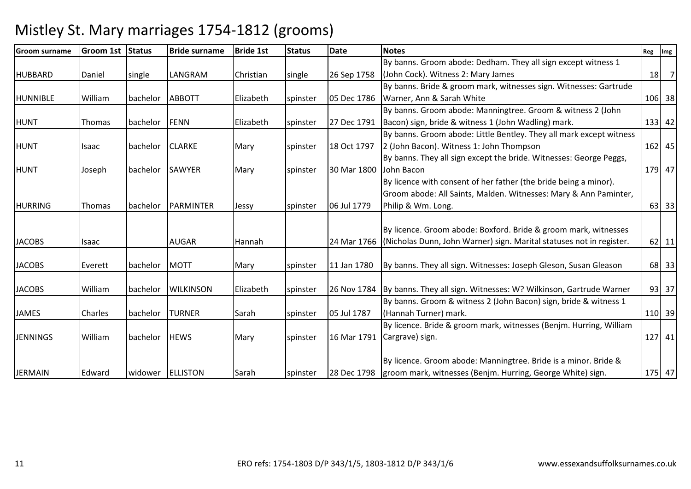| <b>Groom surname</b> | <b>Groom 1st</b> | <b>Status</b> | <b>Bride surname</b> | <b>Bride 1st</b> | <b>Status</b> | <b>Date</b> | <b>Notes</b>                                                                  | Reg | $\mathsf{Im} \mathsf{g}$ |
|----------------------|------------------|---------------|----------------------|------------------|---------------|-------------|-------------------------------------------------------------------------------|-----|--------------------------|
|                      |                  |               |                      |                  |               |             | By banns. Groom abode: Dedham. They all sign except witness 1                 |     |                          |
| <b>HUBBARD</b>       | Daniel           | single        | LANGRAM              | Christian        | single        | 26 Sep 1758 | (John Cock). Witness 2: Mary James                                            | 18  | $\overline{7}$           |
|                      |                  |               |                      |                  |               |             | By banns. Bride & groom mark, witnesses sign. Witnesses: Gartrude             |     |                          |
| <b>HUNNIBLE</b>      | William          | bachelor      | <b>ABBOTT</b>        | Elizabeth        | spinster      | 05 Dec 1786 | Warner, Ann & Sarah White                                                     |     | 106 38                   |
|                      |                  |               |                      |                  |               |             | By banns. Groom abode: Manningtree. Groom & witness 2 (John                   |     |                          |
| <b>HUNT</b>          | Thomas           | bachelor      | <b>FENN</b>          | Elizabeth        | spinster      | 27 Dec 1791 | Bacon) sign, bride & witness 1 (John Wadling) mark.                           |     | 133 42                   |
|                      |                  |               |                      |                  |               |             | By banns. Groom abode: Little Bentley. They all mark except witness           |     |                          |
| <b>HUNT</b>          | Isaac            | bachelor      | <b>CLARKE</b>        | Mary             | spinster      | 18 Oct 1797 | 2 (John Bacon). Witness 1: John Thompson                                      |     | 162 45                   |
|                      |                  |               |                      |                  |               |             | By banns. They all sign except the bride. Witnesses: George Peggs,            |     |                          |
| <b>HUNT</b>          | Joseph           | bachelor      | <b>SAWYER</b>        | Mary             | spinster      | 30 Mar 1800 | John Bacon                                                                    |     | 179 47                   |
|                      |                  |               |                      |                  |               |             | By licence with consent of her father (the bride being a minor).              |     |                          |
|                      |                  |               |                      |                  |               |             | Groom abode: All Saints, Malden. Witnesses: Mary & Ann Paminter,              |     |                          |
| <b>HURRING</b>       | <b>Thomas</b>    | bachelor      | PARMINTER            | Jessy            | spinster      | 06 Jul 1779 | Philip & Wm. Long.                                                            |     | 63 33                    |
|                      |                  |               |                      |                  |               |             |                                                                               |     |                          |
|                      |                  |               |                      |                  |               |             | By licence. Groom abode: Boxford. Bride & groom mark, witnesses               |     |                          |
| <b>JACOBS</b>        | Isaac            |               | <b>AUGAR</b>         | Hannah           |               | 24 Mar 1766 | (Nicholas Dunn, John Warner) sign. Marital statuses not in register.          |     | 62 11                    |
|                      |                  |               |                      |                  |               |             |                                                                               |     |                          |
| <b>JACOBS</b>        | Everett          | bachelor      | <b>MOTT</b>          | Mary             | spinster      | 11 Jan 1780 | By banns. They all sign. Witnesses: Joseph Gleson, Susan Gleason              |     | 68 33                    |
|                      |                  |               |                      |                  |               |             |                                                                               |     |                          |
| <b>JACOBS</b>        | William          | bachelor      | <b>WILKINSON</b>     | Elizabeth        | spinster      |             | 26 Nov 1784 By banns. They all sign. Witnesses: W? Wilkinson, Gartrude Warner |     | 93 37                    |
|                      |                  |               |                      |                  |               |             | By banns. Groom & witness 2 (John Bacon) sign, bride & witness 1              |     |                          |
| <b>JAMES</b>         | Charles          | bachelor      | TURNER               | Sarah            | spinster      | 05 Jul 1787 | (Hannah Turner) mark.                                                         |     | 110 39                   |
|                      |                  |               |                      |                  |               |             | By licence. Bride & groom mark, witnesses (Benjm. Hurring, William            |     |                          |
| <b>JENNINGS</b>      | William          | bachelor      | <b>HEWS</b>          | Mary             | spinster      |             | 16 Mar 1791 Cargrave) sign.                                                   |     | 127 41                   |
|                      |                  |               |                      |                  |               |             |                                                                               |     |                          |
|                      |                  |               |                      |                  |               |             | By licence. Groom abode: Manningtree. Bride is a minor. Bride &               |     |                          |
| <b>JERMAIN</b>       | Edward           | widower       | <b>ELLISTON</b>      | Sarah            | spinster      |             | 28 Dec 1798   groom mark, witnesses (Benjm. Hurring, George White) sign.      |     | 175 47                   |

Mistley St. Mary marriages 1754-1812 (grooms)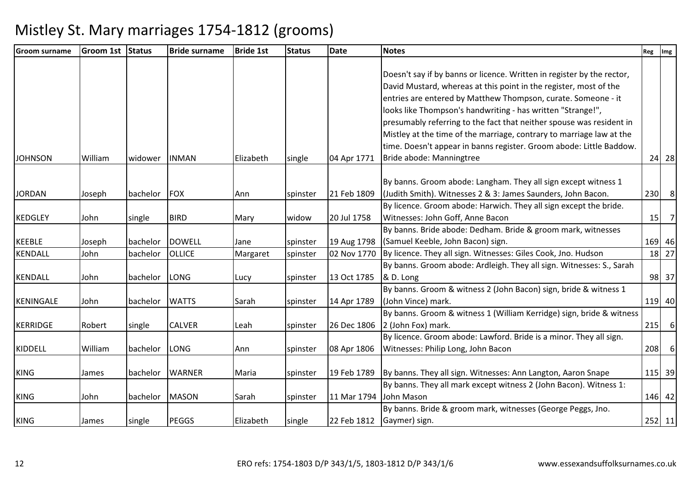| <b>Groom surname</b> | <b>Groom 1st</b> | <b>Status</b> | <b>Bride surname</b> | <b>Bride 1st</b> | <b>Status</b> | <b>Date</b>            | <b>Notes</b>                                                              | Reg | Img            |
|----------------------|------------------|---------------|----------------------|------------------|---------------|------------------------|---------------------------------------------------------------------------|-----|----------------|
|                      |                  |               |                      |                  |               |                        |                                                                           |     |                |
|                      |                  |               |                      |                  |               |                        | Doesn't say if by banns or licence. Written in register by the rector,    |     |                |
|                      |                  |               |                      |                  |               |                        | David Mustard, whereas at this point in the register, most of the         |     |                |
|                      |                  |               |                      |                  |               |                        | entries are entered by Matthew Thompson, curate. Someone - it             |     |                |
|                      |                  |               |                      |                  |               |                        | looks like Thompson's handwriting - has written "Strange!",               |     |                |
|                      |                  |               |                      |                  |               |                        | presumably referring to the fact that neither spouse was resident in      |     |                |
|                      |                  |               |                      |                  |               |                        | Mistley at the time of the marriage, contrary to marriage law at the      |     |                |
|                      |                  |               |                      |                  |               |                        | time. Doesn't appear in banns register. Groom abode: Little Baddow.       |     |                |
| <b>JOHNSON</b>       | William          | widower       | <b>INMAN</b>         | Elizabeth        | single        | 04 Apr 1771            | Bride abode: Manningtree                                                  |     | 24 28          |
|                      |                  |               |                      |                  |               |                        | By banns. Groom abode: Langham. They all sign except witness 1            |     |                |
| <b>JORDAN</b>        | Joseph           | bachelor      | FOX                  | Ann              | spinster      | 21 Feb 1809            | (Judith Smith). Witnesses 2 & 3: James Saunders, John Bacon.              | 230 | 8              |
|                      |                  |               |                      |                  |               |                        | By licence. Groom abode: Harwich. They all sign except the bride.         |     |                |
| <b>KEDGLEY</b>       | John             | single        | <b>BIRD</b>          | Mary             | widow         | 20 Jul 1758            | Witnesses: John Goff, Anne Bacon                                          | 15  | $\overline{7}$ |
|                      |                  |               |                      |                  |               |                        | By banns. Bride abode: Dedham. Bride & groom mark, witnesses              |     |                |
| <b>KEEBLE</b>        | Joseph           | bachelor      | <b>DOWELL</b>        | Jane             | spinster      |                        | 19 Aug 1798 (Samuel Keeble, John Bacon) sign.                             |     | 169 46         |
| <b>KENDALL</b>       | John             | bachelor      | OLLICE               | Margaret         | spinster      |                        | 02 Nov 1770 By licence. They all sign. Witnesses: Giles Cook, Jno. Hudson |     | 18 27          |
|                      |                  |               |                      |                  |               |                        | By banns. Groom abode: Ardleigh. They all sign. Witnesses: S., Sarah      |     |                |
| <b>KENDALL</b>       | John             | bachelor      | LONG                 | Lucy             | spinster      | 13 Oct 1785            | & D. Long                                                                 |     | 98 37          |
|                      |                  |               |                      |                  |               |                        | By banns. Groom & witness 2 (John Bacon) sign, bride & witness 1          |     |                |
| <b>KENINGALE</b>     | John             | bachelor      | <b>WATTS</b>         | Sarah            | spinster      | 14 Apr 1789            | (John Vince) mark.                                                        |     | 119 40         |
|                      |                  |               |                      |                  |               |                        | By banns. Groom & witness 1 (William Kerridge) sign, bride & witness      |     |                |
| KERRIDGE             | Robert           | single        | <b>CALVER</b>        | Leah             | spinster      |                        | 26 Dec 1806 2 (John Fox) mark.                                            |     | $215$ 6        |
|                      |                  |               |                      |                  |               |                        | By licence. Groom abode: Lawford. Bride is a minor. They all sign.        |     |                |
| KIDDELL              | William          | bachelor      | LONG                 | Ann              | spinster      | 08 Apr 1806            | Witnesses: Philip Long, John Bacon                                        | 208 | 6              |
|                      |                  |               |                      |                  |               |                        |                                                                           |     |                |
| <b>KING</b>          | James            | bachelor      | <b>WARNER</b>        | Maria            | spinster      |                        | 19 Feb 1789 By banns. They all sign. Witnesses: Ann Langton, Aaron Snape  |     | 115 39         |
|                      |                  |               |                      |                  |               |                        | By banns. They all mark except witness 2 (John Bacon). Witness 1:         |     |                |
| <b>KING</b>          | John             | bachelor      | <b>MASON</b>         | Sarah            | spinster      | 11 Mar 1794 John Mason |                                                                           |     | 146 42         |
|                      |                  |               |                      |                  |               |                        | By banns. Bride & groom mark, witnesses (George Peggs, Jno.               |     |                |
| <b>KING</b>          | James            | single        | <b>PEGGS</b>         | Elizabeth        | single        |                        | 22 Feb 1812 Gaymer) sign.                                                 |     | 252 11         |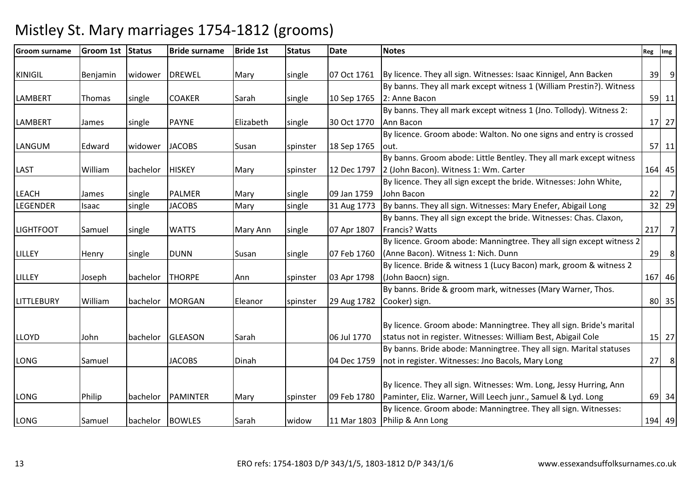#### Groom surnameGroom 1st Status | Bride surname e Bride 1st Status Date Notes Reg Img Reg Img Reg Img Reg Img Reg Img Reg Img Reg Img Reg Img Reg Img Reg Img Reg Img Reg Img Reg Img Reg Img Reg Img Reg Img Reg Img Reg Img Reg Img Reg Img Reg Img Reg Img Reg Img Reg Img KINIGIL Benjamin widower DREWEL Mary single 07 Oct 1761By licence. They all sign. Witnesses: Isaac Kinnigel, Ann Backen | 39 9 LAMBERT Thomas single COAKER Sarah single 10 Sep 1765 By banns. They all mark except witness 1 (William Prestin?). Witness 2: Anne Baconn 59 11 LAMBERT James single PAYNE Elizabeth single 30 Oct 1770By banns. They all mark except witness 1 (Jno. Tollody). Witness 2: Ann Baconn 17 27 LANGUM | Edward | widower JJACOBS | Susan | spinster | 18 Sep 1765 By licence. Groom abode: Walton. No one signs and entry is crossed out.. [57] 11 LAST **William** bachelor HISKEY Mary Spinster 12 Dec 1797 By banns. Groom abode: Little Bentley. They all mark except witness 2 (John Bacon). Witness 1: Wm. Carter <sup>164</sup> <sup>45</sup>LEACH James Single PALMER Mary Single 09 Jan 1759 31 Aug 1773 By licence. They all sign except the bride. Witnesses: John White, John Baconn 22 7 29 LEGENDERIsaac Single JACOBS Mary single 31 Aug 1773 By banns. They all sign. Witnesses: Mary Enefer, Abigail Long 32 LIGHTFOOT Samuel single WATTS Mary Ann single 07 Apr 1807 By banns. They all sign except the bride. Witnesses: Chas. Claxon, Francis? Wattss 217 | 217 | 218 | 219 | 219 | 219 | 219 | 219 | 219 | 219 | 219 | 219 | 219 | 21 LILLEY Henry single DUNN Susan single 07 Feb 1760By licence. Groom abode: Manningtree. They all sign except witness 2 (Anne Bacon). Witness 1: Nich. Dunnn 29 8 LILLEY Joseph Jachelor THORPE Ann Ispinster 103 Apr 1798 By licence. Bride & witness 1 (Lucy Bacon) mark, groom & witness 2 (John Baocn) sign.. [167] 46 LITTLEBURY William bachelor MORGAN Eleanor Spinster 29 Aug 1782 By banns. Bride & groom mark, witnesses (Mary Warner, Thos. Cooker) sign.. 80 35 LLOYD John bachelor GLEASON Sarah 06 Jul 1770By licence. Groom abode: Manningtree. They all sign. Bride's marital status not in register. Witnesses: William Best, Abigail Cole <sup>15</sup> <sup>27</sup>LONG Samuel JACOBS Dinah 04 Dec 1759By banns. Bride abode: Manningtree. They all sign. Marital statuses not in register. Witnesses: Jno Bacols, Mary Longg 27 8 LONG Philip bachelor PAMINTER Mary spinster 09 Feb 1780By licence. They all sign. Witnesses: Wm. Long, Jessy Hurring, Ann Paminter, Eliz. Warner, Will Leech junr., Samuel & Lyd. Long <sup>69</sup> <sup>34</sup>LONG Samuel bachelor BOWLES Sarah widow 11 Mar 1803By licence. Groom abode: Manningtree. They all sign. Witnesses: Philip & Ann Longg 194 49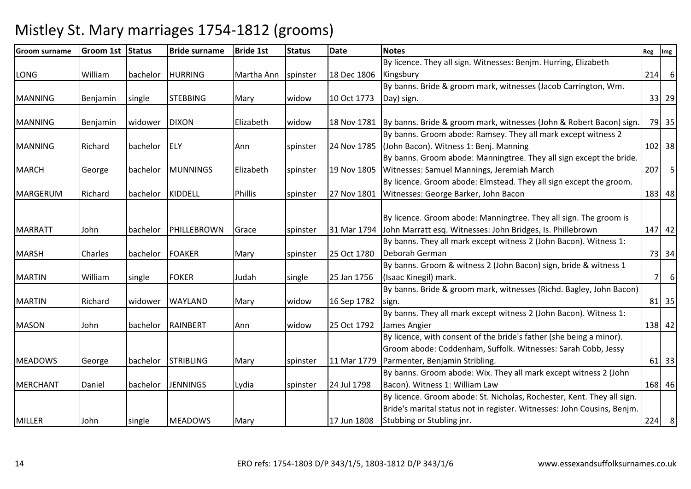| <b>Groom surname</b> | <b>Groom 1st</b> | Status   | <b>Bride surname</b> | <b>Bride 1st</b> | <b>Status</b> | <b>Date</b> | <b>Notes</b>                                                                      | Reg            | Img      |
|----------------------|------------------|----------|----------------------|------------------|---------------|-------------|-----------------------------------------------------------------------------------|----------------|----------|
|                      |                  |          |                      |                  |               |             | By licence. They all sign. Witnesses: Benjm. Hurring, Elizabeth                   |                |          |
| LONG                 | William          | bachelor | <b>HURRING</b>       | Martha Ann       | spinster      | 18 Dec 1806 | Kingsbury                                                                         | 214            | 6        |
|                      |                  |          |                      |                  |               |             | By banns. Bride & groom mark, witnesses (Jacob Carrington, Wm.                    |                |          |
| <b>MANNING</b>       | Benjamin         | single   | <b>STEBBING</b>      | Mary             | widow         | 10 Oct 1773 | Day) sign.                                                                        |                | 33 29    |
|                      |                  |          |                      |                  |               |             |                                                                                   |                |          |
| <b>MANNING</b>       | Benjamin         | widower  | <b>DIXON</b>         | Elizabeth        | widow         |             | 18 Nov 1781   By banns. Bride & groom mark, witnesses (John & Robert Bacon) sign. |                | 79 35    |
|                      |                  |          |                      |                  |               |             | By banns. Groom abode: Ramsey. They all mark except witness 2                     |                |          |
| <b>MANNING</b>       | Richard          | bachelor | <b>IELY</b>          | Ann              | spinster      |             | 24 Nov 1785 (John Bacon). Witness 1: Benj. Manning                                |                | $102$ 38 |
|                      |                  |          |                      |                  |               |             | By banns. Groom abode: Manningtree. They all sign except the bride.               |                |          |
| <b>MARCH</b>         | George           | bachelor | <b>MUNNINGS</b>      | Elizabeth        | spinster      |             | 19 Nov 1805   Witnesses: Samuel Mannings, Jeremiah March                          |                | $207$ 5  |
|                      |                  |          |                      |                  |               |             | By licence. Groom abode: Elmstead. They all sign except the groom.                |                |          |
| <b>MARGERUM</b>      | Richard          | bachelor | KIDDELL              | <b>Phillis</b>   | spinster      | 27 Nov 1801 | Witnesses: George Barker, John Bacon                                              |                | 183 48   |
|                      |                  |          |                      |                  |               |             |                                                                                   |                |          |
|                      |                  |          |                      |                  |               |             | By licence. Groom abode: Manningtree. They all sign. The groom is                 |                |          |
| <b>MARRATT</b>       | John             | bachelor | PHILLEBROWN          | Grace            | spinster      | 31 Mar 1794 | John Marratt esq. Witnesses: John Bridges, Is. Phillebrown                        |                | 147 42   |
|                      |                  |          |                      |                  |               |             | By banns. They all mark except witness 2 (John Bacon). Witness 1:                 |                |          |
| <b>MARSH</b>         | Charles          | bachelor | <b>FOAKER</b>        | Mary             | spinster      | 25 Oct 1780 | Deborah German                                                                    |                | 73 34    |
|                      |                  |          |                      |                  |               |             | By banns. Groom & witness 2 (John Bacon) sign, bride & witness 1                  |                |          |
| <b>MARTIN</b>        | William          | single   | <b>FOKER</b>         | Judah            | single        | 25 Jan 1756 | (Isaac Kinegil) mark.                                                             | 7 <sup>1</sup> | $6 \mid$ |
|                      |                  |          |                      |                  |               |             | By banns. Bride & groom mark, witnesses (Richd. Bagley, John Bacon)               |                |          |
| <b>MARTIN</b>        | Richard          | widower  | <b>WAYLAND</b>       | Mary             | widow         | 16 Sep 1782 | sign.                                                                             |                | 81 35    |
|                      |                  |          |                      |                  |               |             | By banns. They all mark except witness 2 (John Bacon). Witness 1:                 |                |          |
| <b>MASON</b>         | John             | bachelor | RAINBERT             | Ann              | widow         | 25 Oct 1792 | James Angier                                                                      |                | 138 42   |
|                      |                  |          |                      |                  |               |             | By licence, with consent of the bride's father (she being a minor).               |                |          |
|                      |                  |          |                      |                  |               |             | Groom abode: Coddenham, Suffolk. Witnesses: Sarah Cobb, Jessy                     |                |          |
| <b>MEADOWS</b>       | George           | bachelor | <b>STRIBLING</b>     | Mary             | spinster      | 11 Mar 1779 | Parmenter, Benjamin Stribling.                                                    |                | 61 33    |
|                      |                  |          |                      |                  |               |             | By banns. Groom abode: Wix. They all mark except witness 2 (John                  |                |          |
| <b>MERCHANT</b>      | Daniel           | bachelor | <b>JENNINGS</b>      | Lydia            | spinster      | 24 Jul 1798 | Bacon). Witness 1: William Law                                                    |                | 168 46   |
|                      |                  |          |                      |                  |               |             | By licence. Groom abode: St. Nicholas, Rochester, Kent. They all sign.            |                |          |
|                      |                  |          |                      |                  |               |             | Bride's marital status not in register. Witnesses: John Cousins, Benjm.           |                |          |
| <b>MILLER</b>        | John             | single   | <b>MEADOWS</b>       | Mary             |               | 17 Jun 1808 | Stubbing or Stubling jnr.                                                         |                | 224 8    |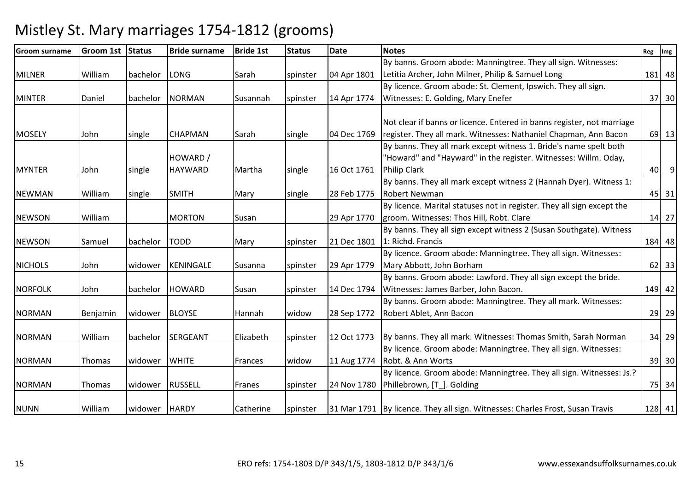| <b>Groom surname</b> | <b>Groom 1st</b> | Status        | <b>Bride surname</b> | <b>Bride 1st</b> | <b>Status</b> | <b>Date</b> | <b>Notes</b>                                                                  | Reg | Img            |
|----------------------|------------------|---------------|----------------------|------------------|---------------|-------------|-------------------------------------------------------------------------------|-----|----------------|
|                      |                  |               |                      |                  |               |             | By banns. Groom abode: Manningtree. They all sign. Witnesses:                 |     |                |
| <b>MILNER</b>        | William          | bachelor      | LONG                 | Sarah            | spinster      | 04 Apr 1801 | Letitia Archer, John Milner, Philip & Samuel Long                             |     | 181 48         |
|                      |                  |               |                      |                  |               |             | By licence. Groom abode: St. Clement, Ipswich. They all sign.                 |     |                |
| <b>MINTER</b>        | Daniel           | bachelor      | <b>NORMAN</b>        | Susannah         | spinster      | 14 Apr 1774 | Witnesses: E. Golding, Mary Enefer                                            |     | 37 30          |
|                      |                  |               |                      |                  |               |             |                                                                               |     |                |
|                      |                  |               |                      |                  |               |             | Not clear if banns or licence. Entered in banns register, not marriage        |     |                |
| <b>MOSELY</b>        | John             | single        | <b>CHAPMAN</b>       | Sarah            | single        | 04 Dec 1769 | register. They all mark. Witnesses: Nathaniel Chapman, Ann Bacon              |     | 69 13          |
|                      |                  |               |                      |                  |               |             | By banns. They all mark except witness 1. Bride's name spelt both             |     |                |
|                      |                  |               | HOWARD /             |                  |               |             | "Howard" and "Hayward" in the register. Witnesses: Willm. Oday,               |     |                |
| <b>MYNTER</b>        | John             | single        | <b>HAYWARD</b>       | Martha           | single        | 16 Oct 1761 | <b>Philip Clark</b>                                                           | 40  | $\overline{9}$ |
|                      |                  |               |                      |                  |               |             | By banns. They all mark except witness 2 (Hannah Dyer). Witness 1:            |     |                |
| <b>NEWMAN</b>        | William          | single        | <b>SMITH</b>         | Mary             | single        | 28 Feb 1775 | <b>Robert Newman</b>                                                          |     | 45 31          |
|                      |                  |               |                      |                  |               |             | By licence. Marital statuses not in register. They all sign except the        |     |                |
| <b>NEWSON</b>        | William          |               | <b>MORTON</b>        | Susan            |               | 29 Apr 1770 | groom. Witnesses: Thos Hill, Robt. Clare                                      |     | 14 27          |
|                      |                  |               |                      |                  |               |             | By banns. They all sign except witness 2 (Susan Southgate). Witness           |     |                |
| <b>NEWSON</b>        | Samuel           | bachelor      | <b>TODD</b>          | Mary             | spinster      |             | 21 Dec 1801   1: Richd. Francis                                               |     | 184 48         |
|                      |                  |               |                      |                  |               |             | By licence. Groom abode: Manningtree. They all sign. Witnesses:               |     |                |
| <b>NICHOLS</b>       | John             | widower       | KENINGALE            | Susanna          | spinster      | 29 Apr 1779 | Mary Abbott, John Borham                                                      |     | $62$ 33        |
|                      |                  |               |                      |                  |               |             | By banns. Groom abode: Lawford. They all sign except the bride.               |     |                |
| <b>NORFOLK</b>       | John             | bachelor      | <b>HOWARD</b>        | Susan            | spinster      | 14 Dec 1794 | Witnesses: James Barber, John Bacon.                                          |     | 149 42         |
|                      |                  |               |                      |                  |               |             | By banns. Groom abode: Manningtree. They all mark. Witnesses:                 |     |                |
| <b>NORMAN</b>        | Benjamin         | widower       | <b>BLOYSE</b>        | Hannah           | widow         | 28 Sep 1772 | Robert Ablet, Ann Bacon                                                       |     | 29 29          |
|                      |                  |               |                      |                  |               |             |                                                                               |     |                |
| <b>NORMAN</b>        | William          | bachelor      | <b>SERGEANT</b>      | Elizabeth        | spinster      | 12 Oct 1773 | By banns. They all mark. Witnesses: Thomas Smith, Sarah Norman                |     | 34 29          |
|                      |                  |               |                      |                  |               |             | By licence. Groom abode: Manningtree. They all sign. Witnesses:               |     |                |
| <b>NORMAN</b>        | Thomas           | widower       | <b>WHITE</b>         | Frances          | widow         | 11 Aug 1774 | Robt. & Ann Worts                                                             |     | 39 30          |
|                      |                  |               |                      |                  |               |             | By licence. Groom abode: Manningtree. They all sign. Witnesses: Js.?          |     |                |
| <b>NORMAN</b>        | Thomas           | widower       | <b>RUSSELL</b>       | Franes           | spinster      | 24 Nov 1780 | Phillebrown, [T_]. Golding                                                    |     | 75 34          |
|                      |                  |               |                      |                  |               |             |                                                                               |     |                |
| <b>NUNN</b>          | William          | widower HARDY |                      | Catherine        | spinster      |             | 31 Mar 1791 By licence. They all sign. Witnesses: Charles Frost, Susan Travis |     | 128 41         |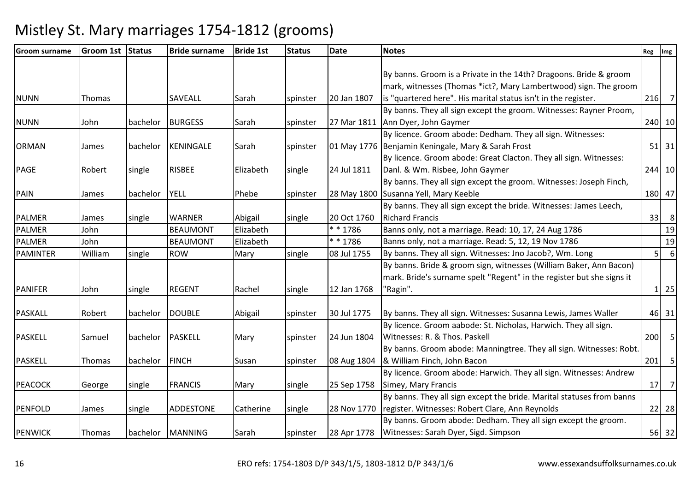| <b>Groom surname</b> | Groom 1st Status |          | <b>Bride surname</b> | <b>Bride 1st</b> | <b>Status</b> | <b>Date</b> | <b>Notes</b>                                                          | Reg            | Img              |
|----------------------|------------------|----------|----------------------|------------------|---------------|-------------|-----------------------------------------------------------------------|----------------|------------------|
|                      |                  |          |                      |                  |               |             |                                                                       |                |                  |
|                      |                  |          |                      |                  |               |             | By banns. Groom is a Private in the 14th? Dragoons. Bride & groom     |                |                  |
|                      |                  |          |                      |                  |               |             | mark, witnesses (Thomas *ict?, Mary Lambertwood) sign. The groom      |                |                  |
| <b>NUNN</b>          | Thomas           |          | <b>SAVEALL</b>       | Sarah            | spinster      | 20 Jan 1807 | is "quartered here". His marital status isn't in the register.        |                | $216$ 7          |
|                      |                  |          |                      |                  |               |             | By banns. They all sign except the groom. Witnesses: Rayner Proom,    |                |                  |
| <b>NUNN</b>          | John             | bachelor | <b>BURGESS</b>       | Sarah            | spinster      |             | 27 Mar 1811   Ann Dyer, John Gaymer                                   |                | 240 10           |
|                      |                  |          |                      |                  |               |             | By licence. Groom abode: Dedham. They all sign. Witnesses:            |                |                  |
| <b>ORMAN</b>         | James            | bachelor | KENINGALE            | Sarah            | spinster      |             | 01 May 1776 Benjamin Keningale, Mary & Sarah Frost                    |                | $51$ 31          |
|                      |                  |          |                      |                  |               |             | By licence. Groom abode: Great Clacton. They all sign. Witnesses:     |                |                  |
| <b>PAGE</b>          | Robert           | single   | <b>RISBEE</b>        | Elizabeth        | single        | 24 Jul 1811 | Danl. & Wm. Risbee, John Gaymer                                       |                | 244 10           |
|                      |                  |          |                      |                  |               |             | By banns. They all sign except the groom. Witnesses: Joseph Finch,    |                |                  |
| PAIN                 | James            | bachelor | <b>YELL</b>          | Phebe            | spinster      |             | 28 May 1800 Susanna Yell, Mary Keeble                                 |                | 180 47           |
|                      |                  |          |                      |                  |               |             | By banns. They all sign except the bride. Witnesses: James Leech,     |                |                  |
| <b>PALMER</b>        | James            | single   | <b>WARNER</b>        | Abigail          | single        | 20 Oct 1760 | <b>Richard Francis</b>                                                |                | $33$ 8           |
| <b>PALMER</b>        | John             |          | <b>BEAUMONT</b>      | Elizabeth        |               | $* * 1786$  | Banns only, not a marriage. Read: 10, 17, 24 Aug 1786                 |                | 19               |
| <b>PALMER</b>        | John             |          | <b>BEAUMONT</b>      | Elizabeth        |               | $* * 1786$  | Banns only, not a marriage. Read: 5, 12, 19 Nov 1786                  |                | 19               |
| <b>PAMINTER</b>      | William          | single   | <b>ROW</b>           | Mary             | single        | 08 Jul 1755 | By banns. They all sign. Witnesses: Jno Jacob?, Wm. Long              | 5 <sup>1</sup> | $6 \overline{6}$ |
|                      |                  |          |                      |                  |               |             | By banns. Bride & groom sign, witnesses (William Baker, Ann Bacon)    |                |                  |
|                      |                  |          |                      |                  |               |             | mark. Bride's surname spelt "Regent" in the register but she signs it |                |                  |
| <b>PANIFER</b>       | John             | single   | <b>REGENT</b>        | Rachel           | single        | 12 Jan 1768 | 'Ragin".                                                              |                | $1 \vert 25$     |
|                      |                  |          |                      |                  |               |             |                                                                       |                |                  |
| <b>PASKALL</b>       | Robert           | bachelor | DOUBLE               | Abigail          | spinster      | 30 Jul 1775 | By banns. They all sign. Witnesses: Susanna Lewis, James Waller       |                | 46 31            |
|                      |                  |          |                      |                  |               |             | By licence. Groom aabode: St. Nicholas, Harwich. They all sign.       |                |                  |
| <b>PASKELL</b>       | Samuel           | bachelor | <b>PASKELL</b>       | Mary             | spinster      | 24 Jun 1804 | Witnesses: R. & Thos. Paskell                                         |                | $200$ 5          |
|                      |                  |          |                      |                  |               |             | By banns. Groom abode: Manningtree. They all sign. Witnesses: Robt.   |                |                  |
| <b>PASKELL</b>       | Thomas           | bachelor | <b>FINCH</b>         | Susan            | spinster      |             | 08 Aug 1804  & William Finch, John Bacon                              |                | $201$ 5          |
|                      |                  |          |                      |                  |               |             | By licence. Groom abode: Harwich. They all sign. Witnesses: Andrew    |                |                  |
| <b>PEACOCK</b>       | George           | single   | <b>FRANCIS</b>       | Mary             | single        | 25 Sep 1758 | Simey, Mary Francis                                                   | 17             | $\overline{7}$   |
|                      |                  |          |                      |                  |               |             | By banns. They all sign except the bride. Marital statuses from banns |                |                  |
| <b>PENFOLD</b>       | James            | single   | ADDESTONE            | Catherine        | single        | 28 Nov 1770 | register. Witnesses: Robert Clare, Ann Reynolds                       |                | 22 28            |
|                      |                  |          |                      |                  |               |             | By banns. Groom abode: Dedham. They all sign except the groom.        |                |                  |
| <b>PENWICK</b>       | Thomas           |          | bachelor MANNING     | Sarah            | spinster      |             | 28 Apr 1778   Witnesses: Sarah Dyer, Sigd. Simpson                    |                | 56 32            |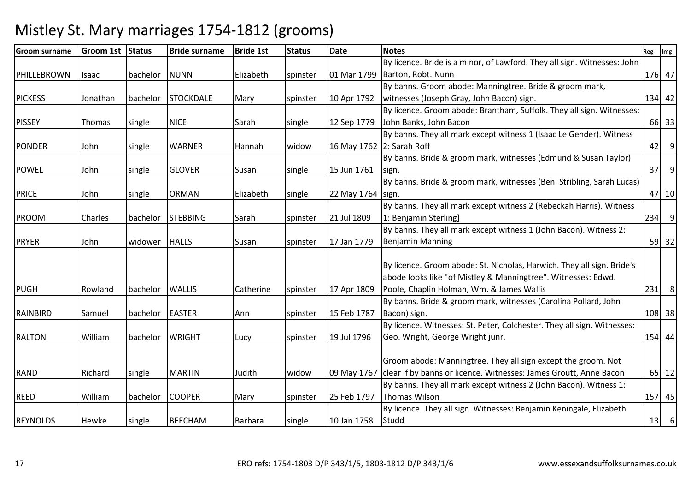### Groom surname $G$ room 1st Status Bride surname e Bride 1st Status Date Notes Reg Img Reg Img Reg Img Reg Img Reg Img Reg Img Reg Img Reg Img Reg Img Reg Img Reg Img Reg Img Reg Img Reg Img Reg Img Reg Img Reg Img Reg Img Reg Img Reg Img Reg Img Reg Img Reg Img Reg Img PHILLEBROWN Isaac bachelor NUNN Elizabeth spinster 01 Mar 1799By licence. Bride is a minor, of Lawford. They all sign. Witnesses: John Barton, Robt. Nunnn 176 47 PICKESS 3 Jonathan bachelor STOCKDALE Mary spinster 10 Apr 1792 By banns. Groom abode: Manningtree. Bride & groom mark, witnesses (Joseph Gray, John Bacon) sign. 134 42PISSEY Thomas single NICE Sarah Single 12 Sep 1779 By licence. Groom abode: Brantham, Suffolk. They all sign. Witnesses: John Banks, John Bacon <sup>66</sup> <sup>33</sup>PONDER John single WARNER Hannah widow 16 May 17622: Sarah RoffBy banns. They all mark except witness 1 (Isaac Le Gender). Witness f 1999 | 42 | 9 | 42 | 9 | 42 | 9 | 42 | 9 | 42 | 9 | 42 | 9 | 42 | 9 | 42 | 9 | 42 | 9 | 42 | 9 | 4 POWEL John Single GLOVER Susan Single 15 Jun 1761 By banns. Bride & groom mark, witnesses (Edmund & Susan Taylor) sign.. [37] 9] PRICE John single ORMAN Elizabeth single 22 May 1764sign.By banns. Bride & groom mark, witnesses (Ben. Stribling, Sarah Lucas) .  $\begin{bmatrix} 47 & 10 \\ 10 & 10 \end{bmatrix}$ PROOM Charles bachelor STEBBING Sarah spinster 21 Jul 1809By banns. They all mark except witness 2 (Rebeckah Harris). Witness 1: Benjamin Sterling] <sup>234</sup> <sup>9</sup>PRYER John widower HALLS Susan spinster 17 Jan 1779By banns. They all mark except witness 1 (John Bacon). Witness 2: Benjamin Manningg 59 32 PUGH 17 Apr 1809 Rowland bachelor WALLIS Catherine Spinster 17 Apr 1809 By licence. Groom abode: St. Nicholas, Harwich. They all sign. Bride's abode looks like "of Mistley & Manningtree". Witnesses: Edwd. Poole, Chaplin Holman, Wm. & James Walliss 231 8 RAINBIRD Samuel bachelor EASTER Ann Spinster 15 Feb 1787 By banns. Bride & groom mark, witnesses (Carolina Pollard, John Bacon) sign.. [108] 38 RALTON William bachelor WRIGHT Lucy spinster 19 Jul 1796By licence. Witnesses: St. Peter, Colchester. They all sign. Witnesses: Geo. Wright, George Wright junr. 154 44RAND Richard single MARTIN Judith widow 09 May 1767clear if by banns or licence. Witnesses: James Groutt, Anne BaconGroom abode: Manningtree. They all sign except the groom. Not <sup>65</sup> <sup>12</sup>REED William bachelor COOPER Mary spinster 25 Feb 1797By banns. They all mark except witness 2 (John Bacon). Witness 1: Thomas Wilsonn 157 45 REYNOLDS Hewke single BEECHAM Barbara single 10 Jan 1758 By licence. They all sign. Witnesses: Benjamin Keningale, Elizabeth Studdd 13 6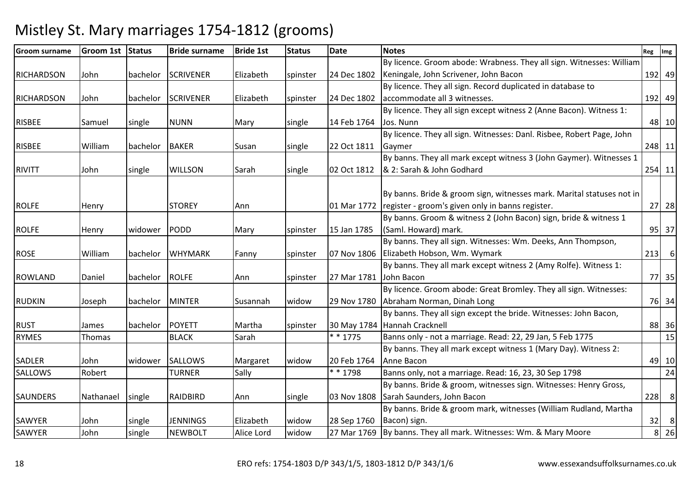| <b>Groom surname</b> | <b>Groom 1st</b> | Status   | <b>Bride surname</b> | <b>Bride 1st</b> | <b>Status</b> | <b>Date</b> | <b>Notes</b>                                                          | Reg            | Img            |
|----------------------|------------------|----------|----------------------|------------------|---------------|-------------|-----------------------------------------------------------------------|----------------|----------------|
|                      |                  |          |                      |                  |               |             | By licence. Groom abode: Wrabness. They all sign. Witnesses: William  |                |                |
| <b>RICHARDSON</b>    | John             |          | bachelor SCRIVENER   | Elizabeth        | spinster      | 24 Dec 1802 | Keningale, John Scrivener, John Bacon                                 |                | 192 49         |
|                      |                  |          |                      |                  |               |             | By licence. They all sign. Record duplicated in database to           |                |                |
| <b>RICHARDSON</b>    | John             | bachelor | <b>SCRIVENER</b>     | Elizabeth        | spinster      | 24 Dec 1802 | accommodate all 3 witnesses.                                          |                | 192 49         |
|                      |                  |          |                      |                  |               |             | By licence. They all sign except witness 2 (Anne Bacon). Witness 1:   |                |                |
| <b>RISBEE</b>        | Samuel           | single   | <b>NUNN</b>          | Mary             | single        | 14 Feb 1764 | Jos. Nunn                                                             |                | 48 10          |
|                      |                  |          |                      |                  |               |             | By licence. They all sign. Witnesses: Danl. Risbee, Robert Page, John |                |                |
| <b>RISBEE</b>        | William          | bachelor | <b>BAKER</b>         | Susan            | single        | 22 Oct 1811 | Gaymer                                                                |                | 248 11         |
|                      |                  |          |                      |                  |               |             | By banns. They all mark except witness 3 (John Gaymer). Witnesses 1   |                |                |
| <b>RIVITT</b>        | John             | single   | <b>WILLSON</b>       | Sarah            | single        | 02 Oct 1812 | & 2: Sarah & John Godhard                                             |                | 254 11         |
|                      |                  |          |                      |                  |               |             |                                                                       |                |                |
|                      |                  |          |                      |                  |               |             | By banns. Bride & groom sign, witnesses mark. Marital statuses not in |                |                |
| <b>ROLFE</b>         | Henry            |          | <b>STOREY</b>        | Ann              |               |             | 01 Mar 1772   register - groom's given only in banns register.        |                | 27 28          |
|                      |                  |          |                      |                  |               |             | By banns. Groom & witness 2 (John Bacon) sign, bride & witness 1      |                |                |
| <b>ROLFE</b>         | Henry            | widower  | PODD                 | Mary             | spinster      | 15 Jan 1785 | (Saml. Howard) mark.                                                  |                | 95 37          |
|                      |                  |          |                      |                  |               |             | By banns. They all sign. Witnesses: Wm. Deeks, Ann Thompson,          |                |                |
| <b>ROSE</b>          | William          | bachelor | <b>WHYMARK</b>       | Fanny            | spinster      |             | 07 Nov 1806 Elizabeth Hobson, Wm. Wymark                              |                | $213$ 6        |
|                      |                  |          |                      |                  |               |             | By banns. They all mark except witness 2 (Amy Rolfe). Witness 1:      |                |                |
| <b>ROWLAND</b>       | Daniel           | bachelor | <b>ROLFE</b>         | Ann              | spinster      | 27 Mar 1781 | John Bacon                                                            |                | 77 35          |
|                      |                  |          |                      |                  |               |             | By licence. Groom abode: Great Bromley. They all sign. Witnesses:     |                |                |
| <b>RUDKIN</b>        | Joseph           | bachelor | <b>MINTER</b>        | Susannah         | widow         | 29 Nov 1780 | Abraham Norman, Dinah Long                                            |                | 76 34          |
|                      |                  |          |                      |                  |               |             | By banns. They all sign except the bride. Witnesses: John Bacon,      |                |                |
| <b>RUST</b>          | James            | bachelor | POYETT               | Martha           | spinster      |             | 30 May 1784 Hannah Cracknell                                          |                | 88 36          |
| <b>RYMES</b>         | Thomas           |          | <b>BLACK</b>         | Sarah            |               | $* * 1775$  | Banns only - not a marriage. Read: 22, 29 Jan, 5 Feb 1775             |                | 15             |
|                      |                  |          |                      |                  |               |             | By banns. They all mark except witness 1 (Mary Day). Witness 2:       |                |                |
| <b>SADLER</b>        | John             | widower  | <b>SALLOWS</b>       | Margaret         | widow         | 20 Feb 1764 | Anne Bacon                                                            |                | 49 10          |
| <b>SALLOWS</b>       | Robert           |          | <b>TURNER</b>        | Sally            |               | * * 1798    | Banns only, not a marriage. Read: 16, 23, 30 Sep 1798                 |                | 24             |
|                      |                  |          |                      |                  |               |             | By banns. Bride & groom, witnesses sign. Witnesses: Henry Gross,      |                |                |
| <b>SAUNDERS</b>      | Nathanael        | single   | RAIDBIRD             | Ann              | single        | 03 Nov 1808 | Sarah Saunders, John Bacon                                            | 228            | 8 <sup>8</sup> |
|                      |                  |          |                      |                  |               |             | By banns. Bride & groom mark, witnesses (William Rudland, Martha      |                |                |
| SAWYER               | John             | single   | <b>JENNINGS</b>      | Elizabeth        | widow         | 28 Sep 1760 | Bacon) sign.                                                          | 32             | 8              |
| <b>SAWYER</b>        | John             | single   | <b>NEWBOLT</b>       | Alice Lord       | widow         |             | 27 Mar 1769   By banns. They all mark. Witnesses: Wm. & Mary Moore    | $\overline{8}$ | 26             |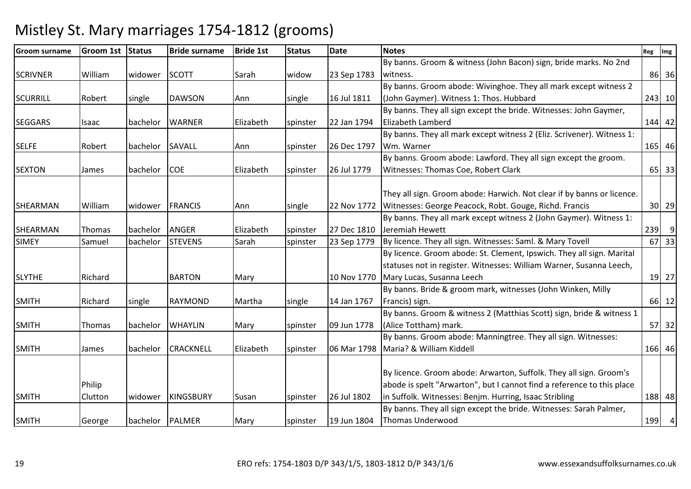#### Groom surnameGroom 1st Status | Bride surname e Bride 1st Status Date Notes Reg Img Reg Img Reg Img Reg Img Reg Img Reg Img Reg Img Reg Img Reg Img Reg Img Reg Img Reg Img Reg Img Reg Img Reg Img Reg Img Reg Img Reg Img Reg Img Reg Img Reg Img Reg Img Reg Img Reg Img SCRIVNER William widower SCOTT Sarah Widow 23 Sep 1783 By banns. Groom & witness (John Bacon) sign, bride marks. No 2nd witness. 86 36SCURRILL | Robert | single | DAWSON | Ann | single | 16 Jul 1811 By banns. Groom abode: Wivinghoe. They all mark except witness 2 (John Gaymer). Witness 1: Thos. Hubbard <sup>243</sup> <sup>10</sup>SEGGARS Isaac bachelor WARNER Elizabeth spinster 22 Jan 1794By banns. They all sign except the bride. Witnesses: John Gaymer, Elizabeth Lamberdd 144 42 SELFE Robert bachelor SAVALL Ann spinster 26 Dec 1797By banns. They all mark except witness 2 (Eliz. Scrivener). Witness 1: Wm. Warnerr 165 46 SEXTON James bachelor COE Elizabeth spinster 26 Jul 1779By banns. Groom abode: Lawford. They all sign except the groom. Witnesses: Thomas Coe, Robert Clarkk 65 33 SHEARMAN |William |widower |FRANCIS | |Ann | |single | 22 Nov 1772 |Witnesses: George Peacock, Robt. Gouge, Richd. Francis They all sign. Groom abode: Harwich. Not clear if by banns or licence. <sup>30</sup> <sup>29</sup>SHEARMAN Thomas bachelor ANGER Elizabeth spinster 27 Dec 181023 Sep 1779 By banns. They all mark except witness 2 (John Gaymer). Witness 1: Jeremiah Hewettt 239 9 33 SIMEYSamuel bachelor STEVENS Sarah spinster  $\left| \right|$  23 Sep 1779  $\left| \right|$  By licence. They all sign. Witnesses: Saml. & Mary Tovell  $\left| \right|$  67 SLYTHE Richard | BARTON Mary | 10 Nov 1770 By licence. Groom abode: St. Clement, Ipswich. They all sign. Marital statuses not in register. Witnesses: William Warner, Susanna Leech, Mary Lucas, Susanna Leechh 19 27 SMITH Richard single RAYMOND Martha single 14 Jan 1767By banns. Bride & groom mark, witnesses (John Winken, Milly Francis) sign. 66 12SMITH Thomas bachelor WHAYLIN Mary spinster 09 Jun 1778 By banns. Groom & witness 2 (Matthias Scott) sign, bride & witness 1 (Alice Tottham) mark.. 57 32 SMITH James bachelor CRACKNELL Elizabeth spinster 06 Mar 1798Maria? & William KiddellBy banns. Groom abode: Manningtree. They all sign. Witnesses: 166 46SMITHPhilip Cluttonwidower KINGSBURY Susan Susinster 126 Jul 1802 By licence. Groom abode: Arwarton, Suffolk. They all sign. Groom's abode is spelt "Arwarton", but I cannot find a reference to this place in Suffolk. Witnesses: Benjm. Hurring, Isaac Striblingg 188 48 SMITH George bachelor PALMER Mary Spinster 19 Jun 1804 By banns. They all sign except the bride. Witnesses: Sarah Palmer, Thomas Underwoodd 199 4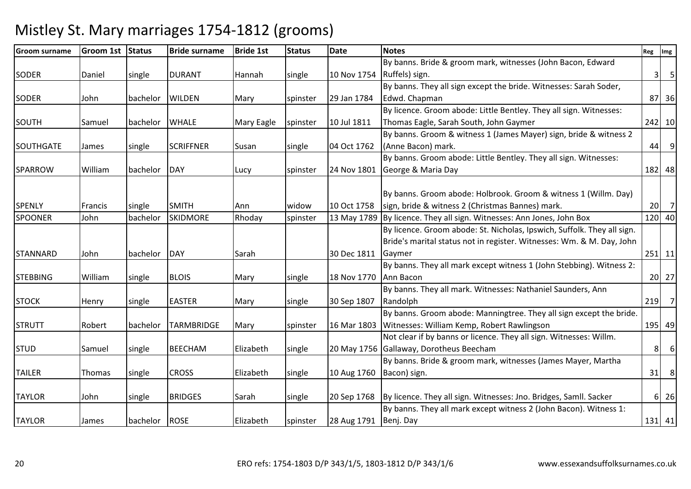| <b>Groom surname</b> | <b>Groom 1st</b> | Status   | <b>Bride surname</b> | <b>Bride 1st</b>  | <b>Status</b> | <b>Date</b>                | <b>Notes</b>                                                                    | Reg            | Img                              |
|----------------------|------------------|----------|----------------------|-------------------|---------------|----------------------------|---------------------------------------------------------------------------------|----------------|----------------------------------|
|                      |                  |          |                      |                   |               |                            | By banns. Bride & groom mark, witnesses (John Bacon, Edward                     |                |                                  |
| <b>SODER</b>         | Daniel           | single   | <b>DURANT</b>        | Hannah            | single        | 10 Nov 1754 Ruffels) sign. |                                                                                 | 3              | $5\phantom{.0}$                  |
|                      |                  |          |                      |                   |               |                            | By banns. They all sign except the bride. Witnesses: Sarah Soder,               |                |                                  |
| <b>SODER</b>         | John             | bachelor | <b>WILDEN</b>        | Mary              | spinster      | 29 Jan 1784                | Edwd. Chapman                                                                   |                | 87 36                            |
|                      |                  |          |                      |                   |               |                            | By licence. Groom abode: Little Bentley. They all sign. Witnesses:              |                |                                  |
| SOUTH                | Samuel           | bachelor | <b>WHALE</b>         | <b>Mary Eagle</b> | spinster      | 10 Jul 1811                | Thomas Eagle, Sarah South, John Gaymer                                          |                | 242 10                           |
|                      |                  |          |                      |                   |               |                            | By banns. Groom & witness 1 (James Mayer) sign, bride & witness 2               |                |                                  |
| <b>SOUTHGATE</b>     | James            | single   | <b>SCRIFFNER</b>     | Susan             | single        | 04 Oct 1762                | (Anne Bacon) mark.                                                              |                | 44 9                             |
|                      |                  |          |                      |                   |               |                            | By banns. Groom abode: Little Bentley. They all sign. Witnesses:                |                |                                  |
| SPARROW              | William          | bachelor | DAY                  | Lucy              | spinster      | 24 Nov 1801                | George & Maria Day                                                              |                | 182 48                           |
|                      |                  |          |                      |                   |               |                            |                                                                                 |                |                                  |
|                      |                  |          |                      |                   |               |                            | By banns. Groom abode: Holbrook. Groom & witness 1 (Willm. Day)                 |                |                                  |
| <b>SPENLY</b>        | Francis          | single   | <b>SMITH</b>         | Ann               | widow         | 10 Oct 1758                | sign, bride & witness 2 (Christmas Bannes) mark.                                |                | $20 \overline{\smash{\big)}\ 7}$ |
| <b>SPOONER</b>       | John             | bachelor | <b>SKIDMORE</b>      | Rhoday            | spinster      |                            | 13 May 1789 By licence. They all sign. Witnesses: Ann Jones, John Box           |                | 120 40                           |
|                      |                  |          |                      |                   |               |                            | By licence. Groom abode: St. Nicholas, Ipswich, Suffolk. They all sign.         |                |                                  |
|                      |                  |          |                      |                   |               |                            | Bride's marital status not in register. Witnesses: Wm. & M. Day, John           |                |                                  |
| STANNARD             | John             | bachelor | DAY                  | Sarah             |               | 30 Dec 1811                | Gaymer                                                                          |                | $251$ 11                         |
|                      |                  |          |                      |                   |               |                            | By banns. They all mark except witness 1 (John Stebbing). Witness 2:            |                |                                  |
| <b>STEBBING</b>      | William          | single   | <b>BLOIS</b>         | Mary              | single        | 18 Nov 1770 Ann Bacon      |                                                                                 |                | 20 27                            |
|                      |                  |          |                      |                   |               |                            | By banns. They all mark. Witnesses: Nathaniel Saunders, Ann                     |                |                                  |
| <b>STOCK</b>         | Henry            | single   | <b>EASTER</b>        | Mary              | single        | 30 Sep 1807                | Randolph                                                                        | 219            | $\overline{7}$                   |
|                      |                  |          |                      |                   |               |                            | By banns. Groom abode: Manningtree. They all sign except the bride.             |                |                                  |
| <b>STRUTT</b>        | Robert           | bachelor | <b>TARMBRIDGE</b>    | Mary              | spinster      |                            | 16 Mar 1803   Witnesses: William Kemp, Robert Rawlingson                        |                | 195 49                           |
|                      |                  |          |                      |                   |               |                            | Not clear if by banns or licence. They all sign. Witnesses: Willm.              |                |                                  |
| <b>STUD</b>          | Samuel           | single   | <b>BEECHAM</b>       | Elizabeth         | single        |                            | 20 May 1756 Gallaway, Dorotheus Beecham                                         | 8 <sup>1</sup> | $6 \overline{6}$                 |
|                      |                  |          |                      |                   |               |                            | By banns. Bride & groom mark, witnesses (James Mayer, Martha                    |                |                                  |
| <b>TAILER</b>        | Thomas           | single   | <b>CROSS</b>         | Elizabeth         | single        | 10 Aug 1760                | Bacon) sign.                                                                    | 31             | 8                                |
|                      |                  |          |                      |                   |               |                            |                                                                                 |                |                                  |
| <b>TAYLOR</b>        | John             | single   | <b>BRIDGES</b>       | Sarah             | single        |                            | 20 Sep 1768   By licence. They all sign. Witnesses: Jno. Bridges, Samll. Sacker |                | 6 26                             |
|                      |                  |          |                      |                   |               |                            | By banns. They all mark except witness 2 (John Bacon). Witness 1:               |                |                                  |
| <b>TAYLOR</b>        | James            | bachelor | <b>ROSE</b>          | Elizabeth         | spinster      | 28 Aug 1791   Benj. Day    |                                                                                 |                | $131$ 41                         |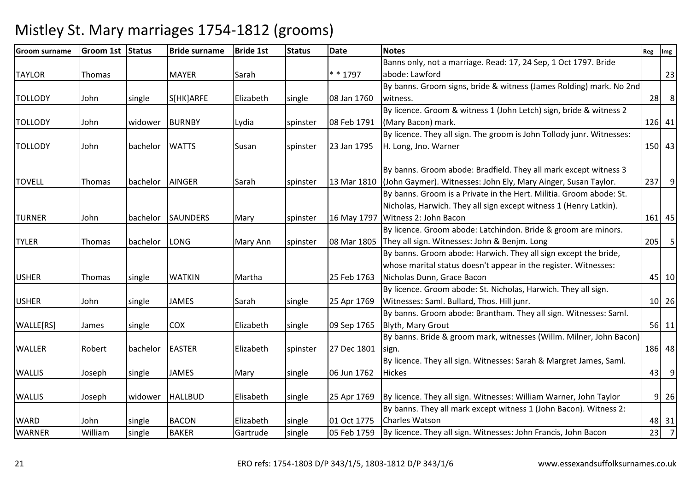| <b>Groom surname</b> | <b>Groom 1st</b> | Status   | <b>Bride surname</b> | <b>Bride 1st</b> | <b>Status</b> | <b>Date</b> | <b>Notes</b>                                                                 | Reg | Img            |
|----------------------|------------------|----------|----------------------|------------------|---------------|-------------|------------------------------------------------------------------------------|-----|----------------|
|                      |                  |          |                      |                  |               |             | Banns only, not a marriage. Read: 17, 24 Sep, 1 Oct 1797. Bride              |     |                |
| <b>TAYLOR</b>        | Thomas           |          | <b>MAYER</b>         | Sarah            |               | $* * 1797$  | abode: Lawford                                                               |     | 23             |
|                      |                  |          |                      |                  |               |             | By banns. Groom signs, bride & witness (James Rolding) mark. No 2nd          |     |                |
| <b>TOLLODY</b>       | John             | single   | S[HK]ARFE            | Elizabeth        | single        | 08 Jan 1760 | witness.                                                                     | 28  | 8              |
|                      |                  |          |                      |                  |               |             | By licence. Groom & witness 1 (John Letch) sign, bride & witness 2           |     |                |
| <b>TOLLODY</b>       | John             | widower  | <b>BURNBY</b>        | Lydia            | spinster      | 08 Feb 1791 | (Mary Bacon) mark.                                                           |     | 126 41         |
|                      |                  |          |                      |                  |               |             | By licence. They all sign. The groom is John Tollody junr. Witnesses:        |     |                |
| <b>TOLLODY</b>       | John             | bachelor | <b>WATTS</b>         | Susan            | spinster      | 23 Jan 1795 | H. Long, Jno. Warner                                                         |     | 150 43         |
|                      |                  |          |                      |                  |               |             | By banns. Groom abode: Bradfield. They all mark except witness 3             |     |                |
| <b>TOVELL</b>        | Thomas           | bachelor | <b>AINGER</b>        | Sarah            | spinster      |             | 13 Mar 1810 (John Gaymer). Witnesses: John Ely, Mary Ainger, Susan Taylor.   | 237 | $\overline{9}$ |
|                      |                  |          |                      |                  |               |             | By banns. Groom is a Private in the Hert. Militia. Groom abode: St.          |     |                |
|                      |                  |          |                      |                  |               |             | Nicholas, Harwich. They all sign except witness 1 (Henry Latkin).            |     |                |
| <b>TURNER</b>        | John             | bachelor | <b>SAUNDERS</b>      | Mary             | spinster      | 16 May 1797 | Witness 2: John Bacon                                                        |     | $161$ 45       |
|                      |                  |          |                      |                  |               |             | By licence. Groom abode: Latchindon. Bride & groom are minors.               |     |                |
| <b>TYLER</b>         | Thomas           | bachelor | LONG                 | Mary Ann         | spinster      |             | 08 Mar 1805 They all sign. Witnesses: John & Benjm. Long                     | 205 | 5              |
|                      |                  |          |                      |                  |               |             | By banns. Groom abode: Harwich. They all sign except the bride,              |     |                |
|                      |                  |          |                      |                  |               |             | whose marital status doesn't appear in the register. Witnesses:              |     |                |
| <b>USHER</b>         | Thomas           | single   | <b>WATKIN</b>        | Martha           |               | 25 Feb 1763 | Nicholas Dunn, Grace Bacon                                                   |     | 45 10          |
|                      |                  |          |                      |                  |               |             | By licence. Groom abode: St. Nicholas, Harwich. They all sign.               |     |                |
| <b>USHER</b>         | John             | single   | <b>JAMES</b>         | Sarah            | single        | 25 Apr 1769 | Witnesses: Saml. Bullard, Thos. Hill junr.                                   |     | 10 26          |
|                      |                  |          |                      |                  |               |             | By banns. Groom abode: Brantham. They all sign. Witnesses: Saml.             |     |                |
| WALLE[RS]            | James            | single   | <b>COX</b>           | Elizabeth        | single        | 09 Sep 1765 | Blyth, Mary Grout                                                            |     | $56$ 11        |
|                      |                  |          |                      |                  |               |             | By banns. Bride & groom mark, witnesses (Willm. Milner, John Bacon)          |     |                |
| <b>WALLER</b>        | Robert           | bachelor | <b>EASTER</b>        | Elizabeth        | spinster      | 27 Dec 1801 | sign.                                                                        |     | 186 48         |
|                      |                  |          |                      |                  |               |             | By licence. They all sign. Witnesses: Sarah & Margret James, Saml.           |     |                |
| <b>WALLIS</b>        | Joseph           | single   | <b>JAMES</b>         | Mary             | single        | 06 Jun 1762 | <b>Hickes</b>                                                                | 43  | 9              |
|                      |                  |          |                      |                  |               |             |                                                                              |     |                |
| <b>WALLIS</b>        | Joseph           | widower  | <b>HALLBUD</b>       | Elisabeth        | single        | 25 Apr 1769 | By licence. They all sign. Witnesses: William Warner, John Taylor            |     | 9 26           |
|                      |                  |          |                      |                  |               |             | By banns. They all mark except witness 1 (John Bacon). Witness 2:            |     |                |
| <b>WARD</b>          | John             | single   | <b>BACON</b>         | Elizabeth        | single        | 01 Oct 1775 | <b>Charles Watson</b>                                                        |     | 48 31          |
| <b>WARNER</b>        | William          | single   | <b>BAKER</b>         | Gartrude         | single        |             | 05 Feb 1759   By licence. They all sign. Witnesses: John Francis, John Bacon | 23  | $\overline{7}$ |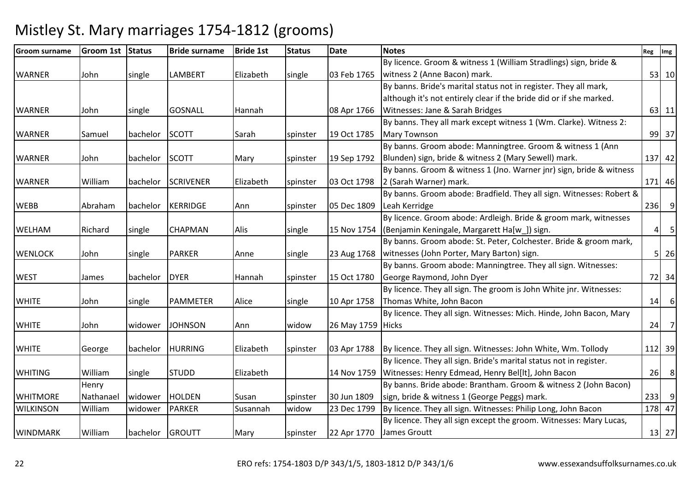| <b>Groom surname</b> | <b>Groom 1st</b> | Status          | <b>Bride surname</b> | <b>Bride 1st</b> | <b>Status</b> | <b>Date</b>       | <b>Notes</b>                                                         | Reg            | Img         |
|----------------------|------------------|-----------------|----------------------|------------------|---------------|-------------------|----------------------------------------------------------------------|----------------|-------------|
|                      |                  |                 |                      |                  |               |                   | By licence. Groom & witness 1 (William Stradlings) sign, bride &     |                |             |
| <b>WARNER</b>        | John             | single          | LAMBERT              | Elizabeth        | single        | 03 Feb 1765       | witness 2 (Anne Bacon) mark.                                         |                | 53 10       |
|                      |                  |                 |                      |                  |               |                   | By banns. Bride's marital status not in register. They all mark,     |                |             |
|                      |                  |                 |                      |                  |               |                   | although it's not entirely clear if the bride did or if she marked.  |                |             |
| <b>WARNER</b>        | John             | single          | <b>GOSNALL</b>       | Hannah           |               | 08 Apr 1766       | Witnesses: Jane & Sarah Bridges                                      |                | 63 11       |
|                      |                  |                 |                      |                  |               |                   | By banns. They all mark except witness 1 (Wm. Clarke). Witness 2:    |                |             |
| <b>WARNER</b>        | Samuel           | bachelor        | <b>SCOTT</b>         | Sarah            | spinster      | 19 Oct 1785       | <b>Mary Townson</b>                                                  |                | 99 37       |
|                      |                  |                 |                      |                  |               |                   | By banns. Groom abode: Manningtree. Groom & witness 1 (Ann           |                |             |
| <b>WARNER</b>        | John             | bachelor SCOTT  |                      | Mary             | spinster      | 19 Sep 1792       | Blunden) sign, bride & witness 2 (Mary Sewell) mark.                 |                | 137 42      |
|                      |                  |                 |                      |                  |               |                   | By banns. Groom & witness 1 (Jno. Warner jnr) sign, bride & witness  |                |             |
| <b>WARNER</b>        | William          | bachelor        | <b>SCRIVENER</b>     | Elizabeth        | spinster      | 03 Oct 1798       | 2 (Sarah Warner) mark.                                               |                | 171 46      |
|                      |                  |                 |                      |                  |               |                   | By banns. Groom abode: Bradfield. They all sign. Witnesses: Robert & |                |             |
| <b>WEBB</b>          | Abraham          | bachelor        | <b>KERRIDGE</b>      | Ann              | spinster      | 05 Dec 1809       | Leah Kerridge                                                        |                | 236 9       |
|                      |                  |                 |                      |                  |               |                   | By licence. Groom abode: Ardleigh. Bride & groom mark, witnesses     |                |             |
| <b>WELHAM</b>        | Richard          | single          | <b>CHAPMAN</b>       | Alis             | single        | 15 Nov 1754       | (Benjamin Keningale, Margarett Ha[w_]) sign.                         | 4 <sup>1</sup> | 5           |
|                      |                  |                 |                      |                  |               |                   | By banns. Groom abode: St. Peter, Colchester. Bride & groom mark,    |                |             |
| <b>WENLOCK</b>       | John             | single          | <b>PARKER</b>        | Anne             | single        | 23 Aug 1768       | witnesses (John Porter, Mary Barton) sign.                           |                | $5 \mid 26$ |
|                      |                  |                 |                      |                  |               |                   | By banns. Groom abode: Manningtree. They all sign. Witnesses:        |                |             |
| <b>WEST</b>          | James            | bachelor        | <b>DYER</b>          | Hannah           | spinster      | 15 Oct 1780       | George Raymond, John Dyer                                            |                | 72 34       |
|                      |                  |                 |                      |                  |               |                   | By licence. They all sign. The groom is John White jnr. Witnesses:   |                |             |
| <b>WHITE</b>         | John             | single          | <b>PAMMETER</b>      | Alice            | single        | 10 Apr 1758       | Thomas White, John Bacon                                             |                | 14 6        |
|                      |                  |                 |                      |                  |               |                   | By licence. They all sign. Witnesses: Mich. Hinde, John Bacon, Mary  |                |             |
| <b>WHITE</b>         | John             | widower         | <b>JOHNSON</b>       | Ann              | widow         | 26 May 1759 Hicks |                                                                      |                | $24$ 7      |
|                      |                  |                 |                      |                  |               |                   |                                                                      |                |             |
| <b>WHITE</b>         | George           | bachelor        | <b>HURRING</b>       | Elizabeth        | spinster      | 03 Apr 1788       | By licence. They all sign. Witnesses: John White, Wm. Tollody        |                | 112 39      |
|                      |                  |                 |                      |                  |               |                   | By licence. They all sign. Bride's marital status not in register.   |                |             |
| <b>WHITING</b>       | William          | single          | <b>STUDD</b>         | Elizabeth        |               | 14 Nov 1759       | Witnesses: Henry Edmead, Henry Bel[lt], John Bacon                   | 26             | 8           |
|                      | Henry            |                 |                      |                  |               |                   | By banns. Bride abode: Brantham. Groom & witness 2 (John Bacon)      |                |             |
| <b>WHITMORE</b>      | Nathanael        | widower         | HOLDEN               | Susan            | spinster      | 30 Jun 1809       | sign, bride & witness 1 (George Peggs) mark.                         |                | 233 9       |
| <b>WILKINSON</b>     | William          | widower         | <b>PARKER</b>        | Susannah         | widow         | 23 Dec 1799       | By licence. They all sign. Witnesses: Philip Long, John Bacon        |                | 178 47      |
|                      |                  |                 |                      |                  |               |                   | By licence. They all sign except the groom. Witnesses: Mary Lucas,   |                |             |
| <b>WINDMARK</b>      | William          | bachelor GROUTT |                      | Mary             | spinster      | 22 Apr 1770       | James Groutt                                                         |                | 13 27       |